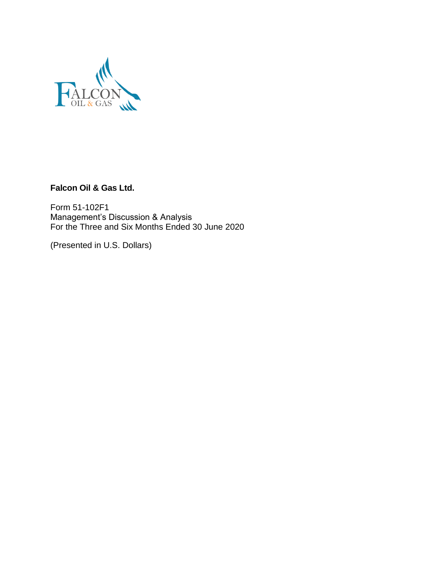

**Falcon Oil & Gas Ltd.**

Form 51-102F1 Management's Discussion & Analysis For the Three and Six Months Ended 30 June 2020

(Presented in U.S. Dollars)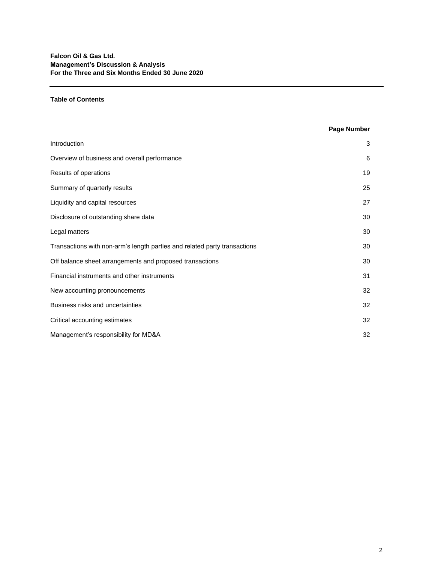## **Table of Contents**

# **Page Number**

| Introduction                                                              | 3  |
|---------------------------------------------------------------------------|----|
| Overview of business and overall performance                              | 6  |
| Results of operations                                                     | 19 |
| Summary of quarterly results                                              | 25 |
| Liquidity and capital resources                                           | 27 |
| Disclosure of outstanding share data                                      | 30 |
| Legal matters                                                             | 30 |
| Transactions with non-arm's length parties and related party transactions | 30 |
| Off balance sheet arrangements and proposed transactions                  | 30 |
| Financial instruments and other instruments                               | 31 |
| New accounting pronouncements                                             | 32 |
| Business risks and uncertainties                                          | 32 |
| Critical accounting estimates                                             | 32 |
| Management's responsibility for MD&A                                      | 32 |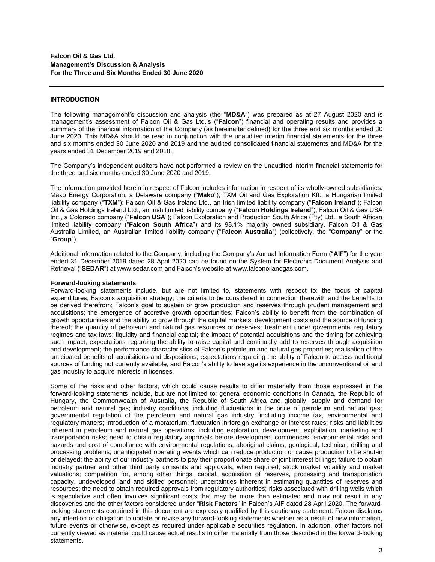### **INTRODUCTION**

The following management's discussion and analysis (the "**MD&A**") was prepared as at 27 August 2020 and is management's assessment of Falcon Oil & Gas Ltd.'s ("**Falcon**") financial and operating results and provides a summary of the financial information of the Company (as hereinafter defined) for the three and six months ended 30 June 2020. This MD&A should be read in conjunction with the unaudited interim financial statements for the three and six months ended 30 June 2020 and 2019 and the audited consolidated financial statements and MD&A for the years ended 31 December 2019 and 2018.

The Company's independent auditors have not performed a review on the unaudited interim financial statements for the three and six months ended 30 June 2020 and 2019.

The information provided herein in respect of Falcon includes information in respect of its wholly-owned subsidiaries: Mako Energy Corporation, a Delaware company ("**Mako**"); TXM Oil and Gas Exploration Kft., a Hungarian limited liability company ("**TXM**"); Falcon Oil & Gas Ireland Ltd., an Irish limited liability company ("**Falcon Ireland**"); Falcon Oil & Gas Holdings Ireland Ltd., an Irish limited liability company ("**Falcon Holdings Ireland**"); Falcon Oil & Gas USA Inc., a Colorado company ("**Falcon USA**"); Falcon Exploration and Production South Africa (Pty) Ltd., a South African limited liability company ("**Falcon South Africa**") and its 98.1% majority owned subsidiary, Falcon Oil & Gas Australia Limited, an Australian limited liability company ("**Falcon Australia**") (collectively, the "**Company**" or the "**Group**").

Additional information related to the Company, including the Company's Annual Information Form ("**AIF**") for the year ended 31 December 2019 dated 28 April 2020 can be found on the System for Electronic Document Analysis and Retrieval ("**SEDAR**") at www.sedar.com and Falcon's website at [www.falconoilandgas.com.](http://www.falconoilandgas.com/)

## **Forward-looking statements**

Forward-looking statements include, but are not limited to, statements with respect to: the focus of capital expenditures; Falcon's acquisition strategy; the criteria to be considered in connection therewith and the benefits to be derived therefrom; Falcon's goal to sustain or grow production and reserves through prudent management and acquisitions; the emergence of accretive growth opportunities; Falcon's ability to benefit from the combination of growth opportunities and the ability to grow through the capital markets; development costs and the source of funding thereof; the quantity of petroleum and natural gas resources or reserves; treatment under governmental regulatory regimes and tax laws; liquidity and financial capital; the impact of potential acquisitions and the timing for achieving such impact; expectations regarding the ability to raise capital and continually add to reserves through acquisition and development; the performance characteristics of Falcon's petroleum and natural gas properties; realisation of the anticipated benefits of acquisitions and dispositions; expectations regarding the ability of Falcon to access additional sources of funding not currently available; and Falcon's ability to leverage its experience in the unconventional oil and gas industry to acquire interests in licenses.

Some of the risks and other factors, which could cause results to differ materially from those expressed in the forward-looking statements include, but are not limited to: general economic conditions in Canada, the Republic of Hungary, the Commonwealth of Australia, the Republic of South Africa and globally; supply and demand for petroleum and natural gas; industry conditions, including fluctuations in the price of petroleum and natural gas; governmental regulation of the petroleum and natural gas industry, including income tax, environmental and regulatory matters; introduction of a moratorium; fluctuation in foreign exchange or interest rates; risks and liabilities inherent in petroleum and natural gas operations, including exploration, development, exploitation, marketing and transportation risks; need to obtain regulatory approvals before development commences; environmental risks and hazards and cost of compliance with environmental regulations; aboriginal claims; geological, technical, drilling and processing problems; unanticipated operating events which can reduce production or cause production to be shut-in or delayed; the ability of our industry partners to pay their proportionate share of joint interest billings; failure to obtain industry partner and other third party consents and approvals, when required; stock market volatility and market valuations; competition for, among other things, capital, acquisition of reserves, processing and transportation capacity, undeveloped land and skilled personnel; uncertainties inherent in estimating quantities of reserves and resources; the need to obtain required approvals from regulatory authorities; risks associated with drilling wells which is speculative and often involves significant costs that may be more than estimated and may not result in any discoveries and the other factors considered under "**Risk Factors**" in Falcon's AIF dated 28 April 2020. The forwardlooking statements contained in this document are expressly qualified by this cautionary statement. Falcon disclaims any intention or obligation to update or revise any forward-looking statements whether as a result of new information, future events or otherwise, except as required under applicable securities regulation. In addition, other factors not currently viewed as material could cause actual results to differ materially from those described in the forward-looking statements.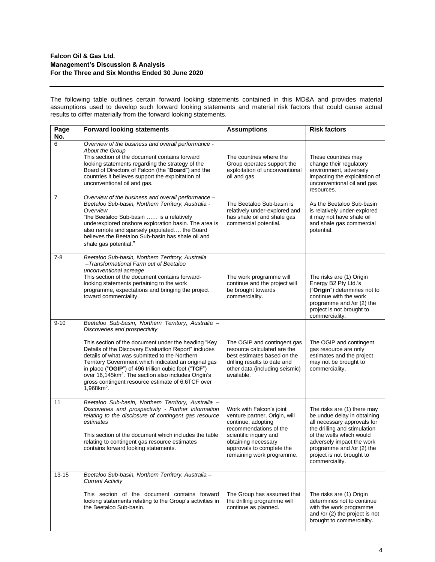The following table outlines certain forward looking statements contained in this MD&A and provides material assumptions used to develop such forward looking statements and material risk factors that could cause actual results to differ materially from the forward looking statements.

| Page<br>No. | <b>Forward looking statements</b>                                                                                                                                                                                                                                                                                                                                                                                                                                                                             | <b>Assumptions</b>                                                                                                                                                                                                   | <b>Risk factors</b>                                                                                                                                                                                                                                            |
|-------------|---------------------------------------------------------------------------------------------------------------------------------------------------------------------------------------------------------------------------------------------------------------------------------------------------------------------------------------------------------------------------------------------------------------------------------------------------------------------------------------------------------------|----------------------------------------------------------------------------------------------------------------------------------------------------------------------------------------------------------------------|----------------------------------------------------------------------------------------------------------------------------------------------------------------------------------------------------------------------------------------------------------------|
| 6           | Overview of the business and overall performance -<br>About the Group<br>This section of the document contains forward<br>looking statements regarding the strategy of the<br>Board of Directors of Falcon (the "Board") and the<br>countries it believes support the exploitation of<br>unconventional oil and gas.                                                                                                                                                                                          | The countries where the<br>Group operates support the<br>exploitation of unconventional<br>oil and gas.                                                                                                              | These countries may<br>change their regulatory<br>environment, adversely<br>impacting the exploitation of<br>unconventional oil and gas<br>resources.                                                                                                          |
| 7           | Overview of the business and overall performance -<br>Beetaloo Sub-basin, Northern Territory, Australia -<br>Overview<br>"the Beetaloo Sub-basin  is a relatively<br>underexplored onshore exploration basin. The area is<br>also remote and sparsely populated the Board<br>believes the Beetaloo Sub-basin has shale oil and<br>shale gas potential."                                                                                                                                                       | The Beetaloo Sub-basin is<br>relatively under-explored and<br>has shale oil and shale gas<br>commercial potential.                                                                                                   | As the Beetaloo Sub-basin<br>is relatively under-explored<br>it may not have shale oil<br>and shale gas commercial<br>potential.                                                                                                                               |
| $7-8$       | Beetaloo Sub-basin, Northern Territory, Australia<br>-Transformational Farm out of Beetaloo<br>unconventional acreage<br>This section of the document contains forward-<br>looking statements pertaining to the work<br>programme, expectations and bringing the project<br>toward commerciality.                                                                                                                                                                                                             | The work programme will<br>continue and the project will<br>be brought towards<br>commerciality.                                                                                                                     | The risks are (1) Origin<br>Energy B2 Pty Ltd.'s<br>("Origin") determines not to<br>continue with the work<br>programme and /or (2) the<br>project is not brought to<br>commerciality.                                                                         |
| $9 - 10$    | Beetaloo Sub-basin, Northern Territory, Australia -<br>Discoveries and prospectivity<br>This section of the document under the heading "Key<br>Details of the Discovery Evaluation Report" includes<br>details of what was submitted to the Northern<br>Territory Government which indicated an original gas<br>in place ("OGIP") of 496 trillion cubic feet ("TCF")<br>over 16,145km <sup>2</sup> . The section also includes Origin's<br>gross contingent resource estimate of 6.6TCF over<br>$1,968km^2$ . | The OGIP and contingent gas<br>resource calculated are the<br>best estimates based on the<br>drilling results to date and<br>other data (including seismic)<br>available.                                            | The OGIP and contingent<br>gas resource are only<br>estimates and the project<br>may not be brought to<br>commerciality.                                                                                                                                       |
| 11          | Beetaloo Sub-basin, Northern Territory, Australia -<br>Discoveries and prospectivity - Further information<br>relating to the disclosure of contingent gas resource<br>estimates<br>This section of the document which includes the table<br>relating to contingent gas resource estimates<br>contains forward looking statements.                                                                                                                                                                            | Work with Falcon's joint<br>venture partner, Origin, will<br>continue, adopting<br>recommendations of the<br>scientific inquiry and<br>obtaining necessary<br>approvals to complete the<br>remaining work programme. | The risks are (1) there may<br>be undue delay in obtaining<br>all necessary approvals for<br>the drilling and stimulation<br>of the wells which would<br>adversely impact the work<br>programme and /or (2) the<br>project is not brought to<br>commerciality. |
| $13 - 15$   | Beetaloo Sub-basin, Northern Territory, Australia -<br><b>Current Activity</b><br>This section of the document contains forward<br>looking statements relating to the Group's activities in<br>the Beetaloo Sub-basin.                                                                                                                                                                                                                                                                                        | The Group has assumed that<br>the drilling programme will<br>continue as planned.                                                                                                                                    | The risks are (1) Origin<br>determines not to continue<br>with the work programme<br>and /or (2) the project is not<br>brought to commerciality.                                                                                                               |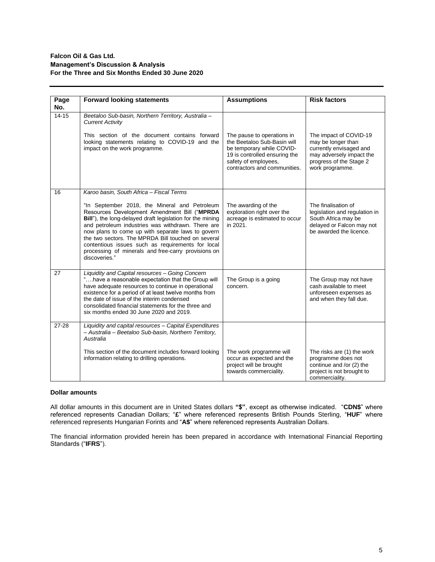| Page      | <b>Forward looking statements</b>                                                                                                                                                                                                                                                                                                                                                                                                                       | <b>Assumptions</b>                                                                                                                                                              | <b>Risk factors</b>                                                                                                                               |
|-----------|---------------------------------------------------------------------------------------------------------------------------------------------------------------------------------------------------------------------------------------------------------------------------------------------------------------------------------------------------------------------------------------------------------------------------------------------------------|---------------------------------------------------------------------------------------------------------------------------------------------------------------------------------|---------------------------------------------------------------------------------------------------------------------------------------------------|
| No.       |                                                                                                                                                                                                                                                                                                                                                                                                                                                         |                                                                                                                                                                                 |                                                                                                                                                   |
| $14 - 15$ | Beetaloo Sub-basin, Northern Territory, Australia -<br><b>Current Activity</b>                                                                                                                                                                                                                                                                                                                                                                          |                                                                                                                                                                                 |                                                                                                                                                   |
|           | This section of the document contains forward<br>looking statements relating to COVID-19 and the<br>impact on the work programme.                                                                                                                                                                                                                                                                                                                       | The pause to operations in<br>the Beetaloo Sub-Basin will<br>be temporary while COVID-<br>19 is controlled ensuring the<br>safety of employees,<br>contractors and communities. | The impact of COVID-19<br>may be longer than<br>currently envisaged and<br>may adversely impact the<br>progress of the Stage 2<br>work programme. |
| 16        | Karoo basin, South Africa - Fiscal Terms                                                                                                                                                                                                                                                                                                                                                                                                                |                                                                                                                                                                                 |                                                                                                                                                   |
|           | "In September 2018, the Mineral and Petroleum<br>Resources Development Amendment Bill ("MPRDA<br>Bill"), the long-delayed draft legislation for the mining<br>and petroleum industries was withdrawn. There are<br>now plans to come up with separate laws to govern<br>the two sectors. The MPRDA Bill touched on several<br>contentious issues such as requirements for local<br>processing of minerals and free-carry provisions on<br>discoveries." | The awarding of the<br>exploration right over the<br>acreage is estimated to occur<br>in 2021.                                                                                  | The finalisation of<br>legislation and regulation in<br>South Africa may be<br>delayed or Falcon may not<br>be awarded the licence.               |
| 27        | Liquidity and Capital resources - Going Concern<br>"have a reasonable expectation that the Group will<br>have adequate resources to continue in operational<br>existence for a period of at least twelve months from<br>the date of issue of the interim condensed<br>consolidated financial statements for the three and<br>six months ended 30 June 2020 and 2019.                                                                                    | The Group is a going<br>concern.                                                                                                                                                | The Group may not have<br>cash available to meet<br>unforeseen expenses as<br>and when they fall due.                                             |
| $27 - 28$ | Liquidity and capital resources - Capital Expenditures<br>- Australia - Beetaloo Sub-basin, Northern Territory,<br>Australia                                                                                                                                                                                                                                                                                                                            |                                                                                                                                                                                 |                                                                                                                                                   |
|           | This section of the document includes forward looking<br>information relating to drilling operations.                                                                                                                                                                                                                                                                                                                                                   | The work programme will<br>occur as expected and the<br>project will be brought<br>towards commerciality.                                                                       | The risks are (1) the work<br>programme does not<br>continue and /or (2) the<br>project is not brought to<br>commerciality.                       |

# **Dollar amounts**

All dollar amounts in this document are in United States dollars **"\$"**, except as otherwise indicated. "**CDN\$**" where referenced represents Canadian Dollars; "**£**" where referenced represents British Pounds Sterling, "**HUF**" where referenced represents Hungarian Forints and "**A\$**" where referenced represents Australian Dollars.

The financial information provided herein has been prepared in accordance with International Financial Reporting Standards ("**IFRS**").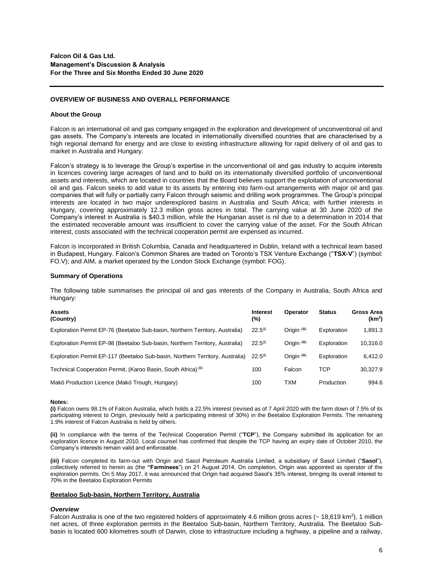#### **OVERVIEW OF BUSINESS AND OVERALL PERFORMANCE**

#### **About the Group**

Falcon is an international oil and gas company engaged in the exploration and development of unconventional oil and gas assets. The Company's interests are located in internationally diversified countries that are characterised by a high regional demand for energy and are close to existing infrastructure allowing for rapid delivery of oil and gas to market in Australia and Hungary.

Falcon's strategy is to leverage the Group's expertise in the unconventional oil and gas industry to acquire interests in licences covering large acreages of land and to build on its internationally diversified portfolio of unconventional assets and interests, which are located in countries that the Board believes support the exploitation of unconventional oil and gas. Falcon seeks to add value to its assets by entering into farm-out arrangements with major oil and gas companies that will fully or partially carry Falcon through seismic and drilling work programmes. The Group's principal interests are located in two major underexplored basins in Australia and South Africa; with further interests in Hungary, covering approximately 12.3 million gross acres in total. The carrying value at 30 June 2020 of the Company's interest in Australia is \$40.3 million, while the Hungarian asset is nil due to a determination in 2014 that the estimated recoverable amount was insufficient to cover the carrying value of the asset. For the South African interest, costs associated with the technical cooperation permit are expensed as incurred.

Falcon is incorporated in British Columbia, Canada and headquartered in Dublin, Ireland with a technical team based in Budapest, Hungary. Falcon's Common Shares are traded on Toronto's TSX Venture Exchange ("**TSX-V**") (symbol: FO.V); and AIM, a market operated by the London Stock Exchange (symbol: FOG).

#### **Summary of Operations**

The following table summarises the principal oil and gas interests of the Company in Australia, South Africa and Hungary:

| <b>Assets</b><br>(Country)                                                    | <b>Interest</b><br>(%) | Operator     | <b>Status</b> | Gross Area<br>(km <sup>2</sup> ) |
|-------------------------------------------------------------------------------|------------------------|--------------|---------------|----------------------------------|
| Exploration Permit EP-76 (Beetaloo Sub-basin, Northern Territory, Australia)  | $22.5^{(i)}$           | Origin (iii) | Exploration   | 1.891.3                          |
| Exploration Permit EP-98 (Beetaloo Sub-basin, Northern Territory, Australia)  | $22.5^{(i)}$           | Origin (iii) | Exploration   | 10.316.0                         |
| Exploration Permit EP-117 (Beetaloo Sub-basin, Northern Territory, Australia) | $22.5^{(i)}$           | Origin (iii) | Exploration   | 6.412.0                          |
| Technical Cooperation Permit, (Karoo Basin, South Africa) (ii)                | 100                    | Falcon       | TCP           | 30.327.9                         |
| Makó Production Licence (Makó Trough, Hungary)                                | 100                    | <b>TXM</b>   | Production    | 994.6                            |

#### **Notes:**

**(i)** Falcon owns 98.1% of Falcon Australia, which holds a 22.5% interest (revised as of 7 April 2020 with the farm down of 7.5% of its participating interest to Origin, previously held a participating interest of 30%) in the Beetaloo Exploration Permits. The remaining 1.9% interest of Falcon Australia is held by others.

**(ii)** In compliance with the terms of the Technical Cooperation Permit ("**TCP**"), the Company submitted its application for an exploration licence in August 2010. Local counsel has confirmed that despite the TCP having an expiry date of October 2010, the Company's interests remain valid and enforceable.

**(iii)** Falcon completed its farm-out with Origin and Sasol Petroleum Australia Limited, a subsidiary of Sasol Limited ("**Sasol**"), collectively referred to herein as (the **"Farminees**") on 21 August 2014. On completion, Origin was appointed as operator of the exploration permits. On 5 May 2017, it was announced that Origin had acquired Sasol's 35% interest, bringing its overall interest to 70% in the Beetaloo Exploration Permits

#### **Beetaloo Sub-basin, Northern Territory, Australia**

#### *Overview*

Falcon Australia is one of the two registered holders of approximately 4.6 million gross acres ( $\sim$  18,619 km<sup>2</sup>), 1 million net acres, of three exploration permits in the Beetaloo Sub-basin, Northern Territory, Australia. The Beetaloo Subbasin is located 600 kilometres south of Darwin, close to infrastructure including a highway, a pipeline and a railway,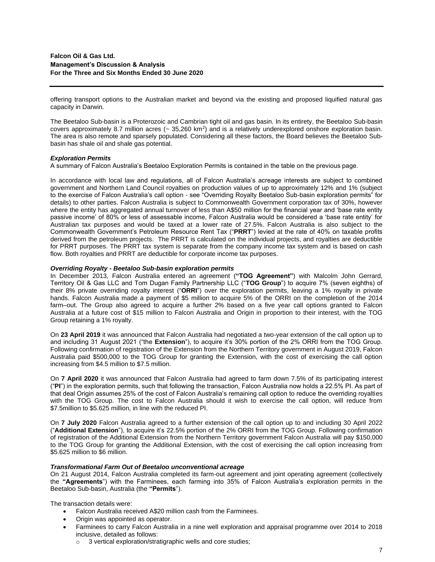offering transport options to the Australian market and beyond via the existing and proposed liquified natural gas capacity in Darwin.

The Beetaloo Sub-basin is a Proterozoic and Cambrian tight oil and gas basin. In its entirety, the Beetaloo Sub-basin covers approximately 8.7 million acres  $($  35,260 km<sup>2</sup>) and is a relatively underexplored onshore exploration basin. The area is also remote and sparsely populated. Considering all these factors, the Board believes the Beetaloo Subbasin has shale oil and shale gas potential.

## *Exploration Permits*

A summary of Falcon Australia's Beetaloo Exploration Permits is contained in the table on the previous page.

In accordance with local law and regulations, all of Falcon Australia's acreage interests are subject to combined government and Northern Land Council royalties on production values of up to approximately 12% and 1% (subject to the exercise of Falcon Australia's call option - see "Overriding Royalty Beetaloo Sub-basin exploration permits" for details) to other parties. Falcon Australia is subject to Commonwealth Government corporation tax of 30%, however where the entity has aggregated annual turnover of less than A\$50 million for the financial year and 'base rate entity passive income' of 80% or less of assessable income, Falcon Australia would be considered a 'base rate entity' for Australian tax purposes and would be taxed at a lower rate of 27.5%. Falcon Australia is also subject to the Commonwealth Government's Petroleum Resource Rent Tax ("**PRRT**") levied at the rate of 40% on taxable profits derived from the petroleum projects. The PRRT is calculated on the individual projects, and royalties are deductible for PRRT purposes. The PRRT tax system is separate from the company income tax system and is based on cash flow. Both royalties and PRRT are deductible for corporate income tax purposes.

## *Overriding Royalty - Beetaloo Sub-basin exploration permits*

In December 2013, Falcon Australia entered an agreement (**"TOG Agreement"**) with Malcolm John Gerrard, Territory Oil & Gas LLC and Tom Dugan Family Partnership LLC ("**TOG Group**") to acquire 7% (seven eighths) of their 8% private overriding royalty interest ("**ORRI**") over the exploration permits, leaving a 1% royalty in private hands. Falcon Australia made a payment of \$5 million to acquire 5% of the ORRI on the completion of the 2014 farm–out. The Group also agreed to acquire a further 2% based on a five year call options granted to Falcon Australia at a future cost of \$15 million to Falcon Australia and Origin in proportion to their interest, with the TOG Group retaining a 1% royalty.

On **23 April 2019** it was announced that Falcon Australia had negotiated a two-year extension of the call option up to and including 31 August 2021 ("the **Extension**"), to acquire it's 30% portion of the 2% ORRI from the TOG Group. Following confirmation of registration of the Extension from the Northern Territory government in August 2019, Falcon Australia paid \$500,000 to the TOG Group for granting the Extension, with the cost of exercising the call option increasing from \$4.5 million to \$7.5 million.

On **7 April 2020** it was announced that Falcon Australia had agreed to farm down 7.5% of its participating interest ("**PI**") in the exploration permits, such that following the transaction, Falcon Australia now holds a 22.5% PI. As part of that deal Origin assumes 25% of the cost of Falcon Australia's remaining call option to reduce the overriding royalties with the TOG Group. The cost to Falcon Australia should it wish to exercise the call option, will reduce from \$7.5million to \$5.625 million, in line with the reduced PI.

On **7 July 2020** Falcon Australia agreed to a further extension of the call option up to and including 30 April 2022 ("**Additional Extension**"), to acquire it's 22.5% portion of the 2% ORRI from the TOG Group. Following confirmation of registration of the Additional Extension from the Northern Territory government Falcon Australia will pay \$150,000 to the TOG Group for granting the Additional Extension, with the cost of exercising the call option increasing from \$5.625 million to \$6 million.

#### *Transformational Farm Out of Beetaloo unconventional acreage*

On 21 August 2014, Falcon Australia completed its farm-out agreement and joint operating agreement (collectively the **"Agreements**") with the Farminees, each farming into 35% of Falcon Australia's exploration permits in the Beetaloo Sub-basin, Australia (the **"Permits**").

The transaction details were:

- Falcon Australia received A\$20 million cash from the Farminees.
- Origin was appointed as operator.
- Farminees to carry Falcon Australia in a nine well exploration and appraisal programme over 2014 to 2018 inclusive, detailed as follows:
	- o 3 vertical exploration/stratigraphic wells and core studies;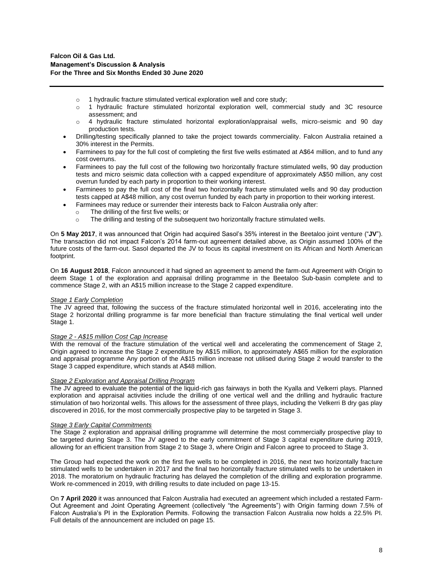- $\circ$  1 hydraulic fracture stimulated vertical exploration well and core study:
- o 1 hydraulic fracture stimulated horizontal exploration well, commercial study and 3C resource assessment; and
- o 4 hydraulic fracture stimulated horizontal exploration/appraisal wells, micro-seismic and 90 day production tests.
- Drilling/testing specifically planned to take the project towards commerciality. Falcon Australia retained a 30% interest in the Permits.
- Farminees to pay for the full cost of completing the first five wells estimated at A\$64 million, and to fund any cost overruns.
- Farminees to pay the full cost of the following two horizontally fracture stimulated wells, 90 day production tests and micro seismic data collection with a capped expenditure of approximately A\$50 million, any cost overrun funded by each party in proportion to their working interest.
- Farminees to pay the full cost of the final two horizontally fracture stimulated wells and 90 day production tests capped at A\$48 million, any cost overrun funded by each party in proportion to their working interest.
- Farminees may reduce or surrender their interests back to Falcon Australia only after:
	- o The drilling of the first five wells; or
	- o The drilling and testing of the subsequent two horizontally fracture stimulated wells.

On **5 May 2017**, it was announced that Origin had acquired Sasol's 35% interest in the Beetaloo joint venture ("**JV**"). The transaction did not impact Falcon's 2014 farm-out agreement detailed above, as Origin assumed 100% of the future costs of the farm-out. Sasol departed the JV to focus its capital investment on its African and North American footprint.

On **16 August 2018**, Falcon announced it had signed an agreement to amend the farm-out Agreement with Origin to deem Stage 1 of the exploration and appraisal drilling programme in the Beetaloo Sub-basin complete and to commence Stage 2, with an A\$15 million increase to the Stage 2 capped expenditure.

## *Stage 1 Early Completion*

The JV agreed that, following the success of the fracture stimulated horizontal well in 2016, accelerating into the Stage 2 horizontal drilling programme is far more beneficial than fracture stimulating the final vertical well under Stage 1.

## *Stage 2 - A\$15 million Cost Cap Increase*

With the removal of the fracture stimulation of the vertical well and accelerating the commencement of Stage 2, Origin agreed to increase the Stage 2 expenditure by A\$15 million, to approximately A\$65 million for the exploration and appraisal programme Any portion of the A\$15 million increase not utilised during Stage 2 would transfer to the Stage 3 capped expenditure, which stands at A\$48 million.

## *Stage 2 Exploration and Appraisal Drilling Program*

The JV agreed to evaluate the potential of the liquid-rich gas fairways in both the Kyalla and Velkerri plays. Planned exploration and appraisal activities include the drilling of one vertical well and the drilling and hydraulic fracture stimulation of two horizontal wells. This allows for the assessment of three plays, including the Velkerri B dry gas play discovered in 2016, for the most commercially prospective play to be targeted in Stage 3.

#### *Stage 3 Early Capital Commitments*

The Stage 2 exploration and appraisal drilling programme will determine the most commercially prospective play to be targeted during Stage 3. The JV agreed to the early commitment of Stage 3 capital expenditure during 2019, allowing for an efficient transition from Stage 2 to Stage 3, where Origin and Falcon agree to proceed to Stage 3.

The Group had expected the work on the first five wells to be completed in 2016, the next two horizontally fracture stimulated wells to be undertaken in 2017 and the final two horizontally fracture stimulated wells to be undertaken in 2018. The moratorium on hydraulic fracturing has delayed the completion of the drilling and exploration programme. Work re-commenced in 2019, with drilling results to date included on page 13-15.

On **7 April 2020** it was announced that Falcon Australia had executed an agreement which included a restated Farm-Out Agreement and Joint Operating Agreement (collectively "the Agreements") with Origin farming down 7.5% of Falcon Australia's PI in the Exploration Permits. Following the transaction Falcon Australia now holds a 22.5% PI. Full details of the announcement are included on page 15.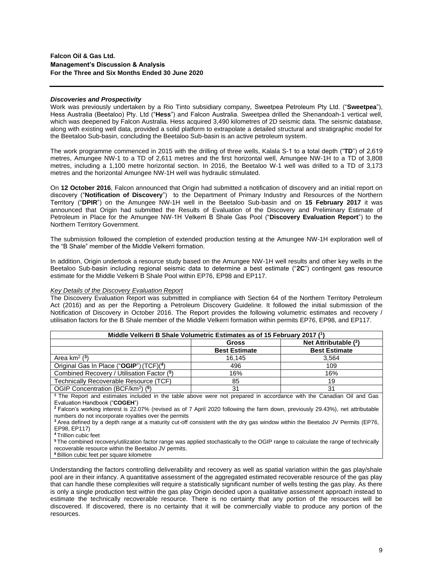### *Discoveries and Prospectivity*

Work was previously undertaken by a Rio Tinto subsidiary company, Sweetpea Petroleum Pty Ltd. ("**Sweetpea**"), Hess Australia (Beetaloo) Pty. Ltd ("**Hess**") and Falcon Australia. Sweetpea drilled the Shenandoah-1 vertical well, which was deepened by Falcon Australia. Hess acquired 3,490 kilometres of 2D seismic data. The seismic database, along with existing well data, provided a solid platform to extrapolate a detailed structural and stratigraphic model for the Beetaloo Sub-basin, concluding the Beetaloo Sub-basin is an active petroleum system.

The work programme commenced in 2015 with the drilling of three wells, Kalala S-1 to a total depth ("**TD**") of 2,619 metres, Amungee NW-1 to a TD of 2,611 metres and the first horizontal well, Amungee NW-1H to a TD of 3,808 metres, including a 1,100 metre horizontal section. In 2016, the Beetaloo W-1 well was drilled to a TD of 3,173 metres and the horizontal Amungee NW-1H well was hydraulic stimulated.

On **12 October 2016**, Falcon announced that Origin had submitted a notification of discovery and an initial report on discovery ("**Notification of Discovery**") to the Department of Primary Industry and Resources of the Northern Territory ("**DPIR**") on the Amungee NW-1H well in the Beetaloo Sub-basin and on **15 February 2017** it was announced that Origin had submitted the Results of Evaluation of the Discovery and Preliminary Estimate of Petroleum in Place for the Amungee NW-1H Velkerri B Shale Gas Pool ("**Discovery Evaluation Report**") to the Northern Territory Government.

The submission followed the completion of extended production testing at the Amungee NW-1H exploration well of the "B Shale" member of the Middle Velkerri formation.

In addition, Origin undertook a resource study based on the Amungee NW-1H well results and other key wells in the Beetaloo Sub-basin including regional seismic data to determine a best estimate ("**2C**") contingent gas resource estimate for the Middle Velkerri B Shale Pool within EP76, EP98 and EP117.

#### *Key Details of the Discovery Evaluation Report*

The Discovery Evaluation Report was submitted in compliance with Section 64 of the Northern Territory Petroleum Act (2016) and as per the Reporting a Petroleum Discovery Guideline. It followed the initial submission of the Notification of Discovery in October 2016. The Report provides the following volumetric estimates and recovery / utilisation factors for the B Shale member of the Middle Velkerri formation within permits EP76, EP98, and EP117.

| Middle Velkerri B Shale Volumetric Estimates as of 15 February 2017 (1)                                                         |                      |                      |  |  |
|---------------------------------------------------------------------------------------------------------------------------------|----------------------|----------------------|--|--|
| Net Attributable $(2)$<br>Gross                                                                                                 |                      |                      |  |  |
|                                                                                                                                 | <b>Best Estimate</b> | <b>Best Estimate</b> |  |  |
| Area $km^2$ $(3)$                                                                                                               | 16.145               | 3.564                |  |  |
| Original Gas In Place ("OGIP") (TCF)(4)                                                                                         | 496                  | 109                  |  |  |
| Combined Recovery / Utilisation Factor (5)                                                                                      | 16%                  | 16%                  |  |  |
| Technically Recoverable Resource (TCF)                                                                                          | 85                   | 19                   |  |  |
| OGIP Concentration (BCF/km <sup>2</sup> ) ( <sup>6</sup> )                                                                      | 31                   | 31                   |  |  |
| <sup>1</sup> The Report and estimates included in the table above were not prepared in accordance with the Canadian Oil and Gas |                      |                      |  |  |

Evaluation Handbook ("**COGEH**")

**<sup>2</sup>**Falcon's working interest is 22.07% (revised as of 7 April 2020 following the farm down, previously 29.43%), net attributable numbers do not incorporate royalties over the permits

**<sup>3</sup>**Area defined by a depth range at a maturity cut-off consistent with the dry gas window within the Beetaloo JV Permits (EP76, EP98, EP117)

**<sup>4</sup>**Trillion cubic feet

**<sup>5</sup>**The combined recovery/utilization factor range was applied stochastically to the OGIP range to calculate the range of technically recoverable resource within the Beetaloo JV permits.

**<sup>6</sup>**Billion cubic feet per square kilometre

Understanding the factors controlling deliverability and recovery as well as spatial variation within the gas play/shale pool are in their infancy. A quantitative assessment of the aggregated estimated recoverable resource of the gas play that can handle these complexities will require a statistically significant number of wells testing the gas play. As there is only a single production test within the gas play Origin decided upon a qualitative assessment approach instead to estimate the technically recoverable resource. There is no certainty that any portion of the resources will be discovered. If discovered, there is no certainty that it will be commercially viable to produce any portion of the resources.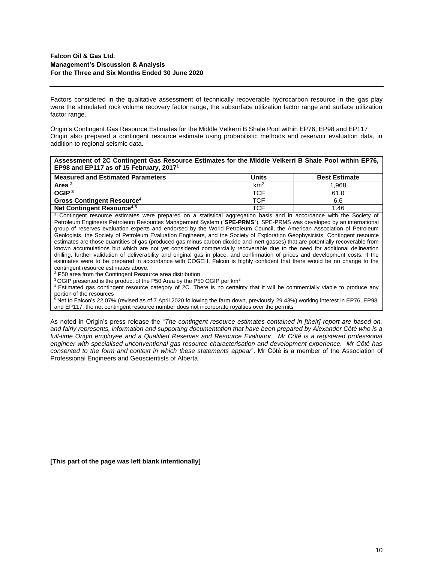Factors considered in the qualitative assessment of technically recoverable hydrocarbon resource in the gas play were the stimulated rock volume recovery factor range, the subsurface utilization factor range and surface utilization factor range.

Origin's Contingent Gas Resource Estimates for the Middle Velkerri B Shale Pool within EP76, EP98 and EP117 Origin also prepared a contingent resource estimate using probabilistic methods and reservoir evaluation data, in addition to regional seismic data.

| Assessment of 2C Contingent Gas Resource Estimates for the Middle Velkerri B Shale Pool within EP76, |  |
|------------------------------------------------------------------------------------------------------|--|
| EP98 and EP117 as of 15 February, 2017 <sup>1</sup>                                                  |  |

| <b>Measured and Estimated Parameters</b>     | Units           | <b>Best Estimate</b> |
|----------------------------------------------|-----------------|----------------------|
| Area <sup>2</sup>                            | km <sup>2</sup> | 1.968                |
| OGIP <sup>3</sup>                            | TCF             | 61.0                 |
| <b>Gross Contingent Resource<sup>4</sup></b> | TCF             | 6.6                  |
| Net Contingent Resource <sup>4,5</sup>       | TCF             | 1.46                 |

<sup>1</sup> Contingent resource estimates were prepared on a statistical aggregation basis and in accordance with the Society of Petroleum Engineers Petroleum Resources Management System ("**SPE-PRMS**"). SPE-PRMS was developed by an international group of reserves evaluation experts and endorsed by the World Petroleum Council, the American Association of Petroleum Geologists, the Society of Petroleum Evaluation Engineers, and the Society of Exploration Geophysicists. Contingent resource estimates are those quantities of gas (produced gas minus carbon dioxide and inert gasses) that are potentially recoverable from known accumulations but which are not yet considered commercially recoverable due to the need for additional delineation drilling, further validation of deliverability and original gas in place, and confirmation of prices and development costs. If the estimates were to be prepared in accordance with COGEH, Falcon is highly confident that there would be no change to the contingent resource estimates above.

<sup>2</sup> P50 area from the Contingent Resource area distribution

<sup>3</sup> OGIP presented is the product of the P50 Area by the P50 OGIP per km<sup>2</sup>

<sup>4</sup>Estimated gas contingent resource category of 2C. There is no certainty that it will be commercially viable to produce any portion of the resources

<sup>5</sup>Net to Falcon's 22.07% (revised as of 7 April 2020 following the farm down, previously 29.43%) working interest in EP76, EP98, and EP117, the net contingent resource number does not incorporate royalties over the permits

As noted in Origin's press release the "*The contingent resource estimates contained in [their] report are based on, and fairly represents, information and supporting documentation that have been prepared by Alexander Côté who is a*  full-time Origin employee and a Qualified Reserves and Resource Evaluator. Mr Côté is a registered professional *engineer with specialised unconventional gas resource characterisation and development experience. Mr Côté has consented to the form and context in which these statements appear*". Mr Côté is a member of the Association of Professional Engineers and Geoscientists of Alberta.

**[This part of the page was left blank intentionally]**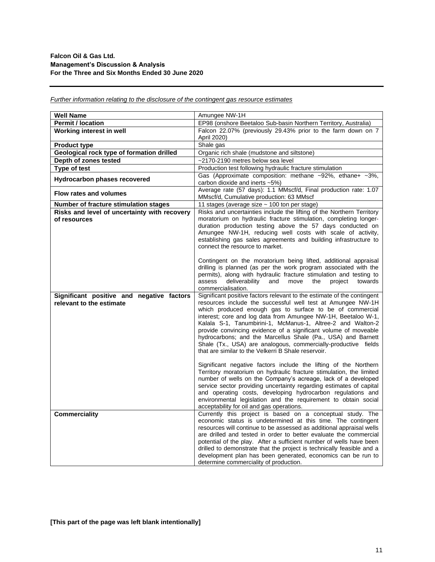| <b>Well Name</b>                                                      | Amungee NW-1H                                                                                                                                                                                                                                                                                                                                                                                                                                                                                                                                                                                                                                                      |
|-----------------------------------------------------------------------|--------------------------------------------------------------------------------------------------------------------------------------------------------------------------------------------------------------------------------------------------------------------------------------------------------------------------------------------------------------------------------------------------------------------------------------------------------------------------------------------------------------------------------------------------------------------------------------------------------------------------------------------------------------------|
| <b>Permit / location</b>                                              | EP98 (onshore Beetaloo Sub-basin Northern Territory, Australia)                                                                                                                                                                                                                                                                                                                                                                                                                                                                                                                                                                                                    |
| Working interest in well                                              | Falcon 22.07% (previously 29.43% prior to the farm down on 7                                                                                                                                                                                                                                                                                                                                                                                                                                                                                                                                                                                                       |
|                                                                       | April 2020)                                                                                                                                                                                                                                                                                                                                                                                                                                                                                                                                                                                                                                                        |
| <b>Product type</b>                                                   | Shale gas                                                                                                                                                                                                                                                                                                                                                                                                                                                                                                                                                                                                                                                          |
| Geological rock type of formation drilled                             | Organic rich shale (mudstone and siltstone)                                                                                                                                                                                                                                                                                                                                                                                                                                                                                                                                                                                                                        |
| Depth of zones tested                                                 | ~2170-2190 metres below sea level                                                                                                                                                                                                                                                                                                                                                                                                                                                                                                                                                                                                                                  |
| Type of test                                                          | Production test following hydraulic fracture stimulation                                                                                                                                                                                                                                                                                                                                                                                                                                                                                                                                                                                                           |
| Hydrocarbon phases recovered                                          | Gas (Approximate composition: methane ~92%, ethane+ ~3%,<br>carbon dioxide and inerts ~5%)                                                                                                                                                                                                                                                                                                                                                                                                                                                                                                                                                                         |
| <b>Flow rates and volumes</b>                                         | Average rate (57 days): 1.1 MMscf/d, Final production rate: 1.07<br>MMscf/d, Cumulative production: 63 MMscf                                                                                                                                                                                                                                                                                                                                                                                                                                                                                                                                                       |
| Number of fracture stimulation stages                                 | 11 stages (average size ~ 100 ton per stage)                                                                                                                                                                                                                                                                                                                                                                                                                                                                                                                                                                                                                       |
| Risks and level of uncertainty with recovery                          | Risks and uncertainties include the lifting of the Northern Territory                                                                                                                                                                                                                                                                                                                                                                                                                                                                                                                                                                                              |
| of resources                                                          | moratorium on hydraulic fracture stimulation, completing longer-<br>duration production testing above the 57 days conducted on<br>Amungee NW-1H, reducing well costs with scale of activity,<br>establishing gas sales agreements and building infrastructure to<br>connect the resource to market.                                                                                                                                                                                                                                                                                                                                                                |
|                                                                       | Contingent on the moratorium being lifted, additional appraisal<br>drilling is planned (as per the work program associated with the<br>permits), along with hydraulic fracture stimulation and testing to<br>assess<br>deliverability<br>and<br>move<br>the<br>project<br>towards<br>commercialisation.                                                                                                                                                                                                                                                                                                                                                            |
| Significant positive and negative factors<br>relevant to the estimate | Significant positive factors relevant to the estimate of the contingent<br>resources include the successful well test at Amungee NW-1H<br>which produced enough gas to surface to be of commercial<br>interest; core and log data from Amungee NW-1H, Beetaloo W-1,<br>Kalala S-1, Tanumbirini-1, McManus-1, Altree-2 and Walton-2<br>provide convincing evidence of a significant volume of moveable<br>hydrocarbons; and the Marcellus Shale (Pa., USA) and Barnett<br>Shale (Tx., USA) are analogous, commercially-productive fields<br>that are similar to the Velkerri B Shale reservoir.<br>Significant negative factors include the lifting of the Northern |
|                                                                       | Territory moratorium on hydraulic fracture stimulation, the limited<br>number of wells on the Company's acreage, lack of a developed<br>service sector providing uncertainty regarding estimates of capital<br>and operating costs, developing hydrocarbon regulations and<br>environmental legislation and the requirement to obtain social<br>acceptability for oil and gas operations.                                                                                                                                                                                                                                                                          |
| <b>Commerciality</b>                                                  | Currently this project is based on a conceptual study. The<br>economic status is undetermined at this time. The contingent<br>resources will continue to be assessed as additional appraisal wells<br>are drilled and tested in order to better evaluate the commercial<br>potential of the play. After a sufficient number of wells have been<br>drilled to demonstrate that the project is technically feasible and a<br>development plan has been generated, economics can be run to<br>determine commerciality of production.                                                                                                                                  |

*Further information relating to the disclosure of the contingent gas resource estimates*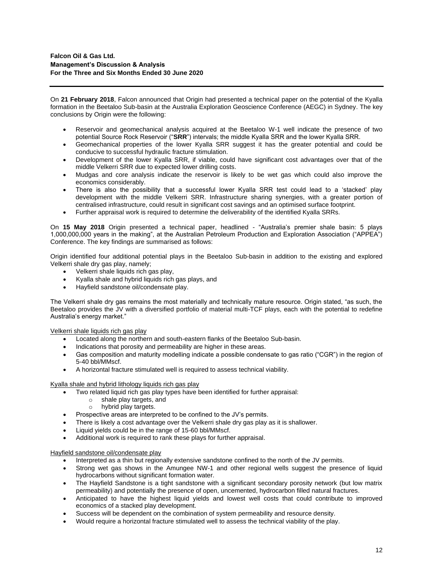On **21 February 2018**, Falcon announced that Origin had presented a technical paper on the potential of the Kyalla formation in the Beetaloo Sub-basin at the Australia Exploration Geoscience Conference (AEGC) in Sydney. The key conclusions by Origin were the following:

- Reservoir and geomechanical analysis acquired at the Beetaloo W-1 well indicate the presence of two potential Source Rock Reservoir ("**SRR**") intervals; the middle Kyalla SRR and the lower Kyalla SRR.
- Geomechanical properties of the lower Kyalla SRR suggest it has the greater potential and could be conducive to successful hydraulic fracture stimulation.
- Development of the lower Kyalla SRR, if viable, could have significant cost advantages over that of the middle Velkerri SRR due to expected lower drilling costs.
- Mudgas and core analysis indicate the reservoir is likely to be wet gas which could also improve the economics considerably.
- There is also the possibility that a successful lower Kyalla SRR test could lead to a 'stacked' play development with the middle Velkerri SRR. Infrastructure sharing synergies, with a greater portion of centralised infrastructure, could result in significant cost savings and an optimised surface footprint.
- Further appraisal work is required to determine the deliverability of the identified Kyalla SRRs.

On **15 May 2018** Origin presented a technical paper, headlined - "Australia's premier shale basin: 5 plays 1,000,000,000 years in the making", at the Australian Petroleum Production and Exploration Association ("APPEA") Conference. The key findings are summarised as follows:

Origin identified four additional potential plays in the Beetaloo Sub-basin in addition to the existing and explored Velkerri shale dry gas play, namely;

- Velkerri shale liquids rich gas play,
- Kyalla shale and hybrid liquids rich gas plays, and
- Hayfield sandstone oil/condensate play.

The Velkerri shale dry gas remains the most materially and technically mature resource. Origin stated, "as such, the Beetaloo provides the JV with a diversified portfolio of material multi-TCF plays, each with the potential to redefine Australia's energy market."

Velkerri shale liquids rich gas play

- Located along the northern and south-eastern flanks of the Beetaloo Sub-basin.
- Indications that porosity and permeability are higher in these areas.
- Gas composition and maturity modelling indicate a possible condensate to gas ratio ("CGR") in the region of 5-40 bbl/MMscf.
- A horizontal fracture stimulated well is required to assess technical viability.

Kyalla shale and hybrid lithology liquids rich gas play

- Two related liquid rich gas play types have been identified for further appraisal:
	- o shale play targets, and
	- o hybrid play targets.
- Prospective areas are interpreted to be confined to the JV's permits.
- There is likely a cost advantage over the Velkerri shale dry gas play as it is shallower.
- Liquid yields could be in the range of 15-60 bbl/MMscf.
- Additional work is required to rank these plays for further appraisal.

Hayfield sandstone oil/condensate play

- Interpreted as a thin but regionally extensive sandstone confined to the north of the JV permits.
- Strong wet gas shows in the Amungee NW-1 and other regional wells suggest the presence of liquid hydrocarbons without significant formation water.
- The Hayfield Sandstone is a tight sandstone with a significant secondary porosity network (but low matrix permeability) and potentially the presence of open, uncemented, hydrocarbon filled natural fractures.
- Anticipated to have the highest liquid yields and lowest well costs that could contribute to improved economics of a stacked play development.
- Success will be dependent on the combination of system permeability and resource density.
- Would require a horizontal fracture stimulated well to assess the technical viability of the play.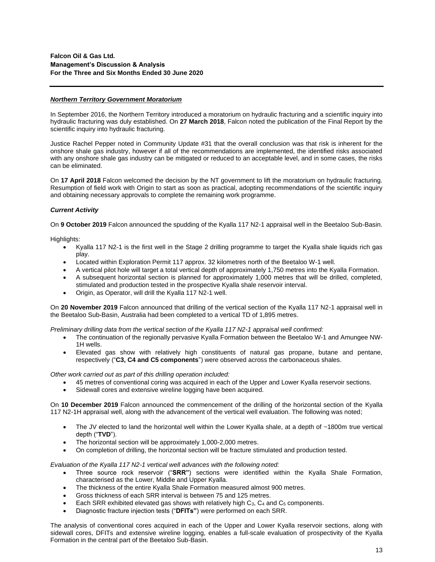## *Northern Territory Government Moratorium*

In September 2016, the Northern Territory introduced a moratorium on hydraulic fracturing and a scientific inquiry into hydraulic fracturing was duly established. On **27 March 2018**, Falcon noted the publication of the Final Report by the scientific inquiry into hydraulic fracturing.

Justice Rachel Pepper noted in Community Update #31 that the overall conclusion was that risk is inherent for the onshore shale gas industry, however if all of the recommendations are implemented, the identified risks associated with any onshore shale gas industry can be mitigated or reduced to an acceptable level, and in some cases, the risks can be eliminated.

On **17 April 2018** Falcon welcomed the decision by the NT government to lift the moratorium on hydraulic fracturing. Resumption of field work with Origin to start as soon as practical, adopting recommendations of the scientific inquiry and obtaining necessary approvals to complete the remaining work programme.

## *Current Activity*

On **9 October 2019** Falcon announced the spudding of the Kyalla 117 N2-1 appraisal well in the Beetaloo Sub-Basin.

Highlights:

- Kyalla 117 N2-1 is the first well in the Stage 2 drilling programme to target the Kyalla shale liquids rich gas play.
- Located within Exploration Permit 117 approx. 32 kilometres north of the Beetaloo W-1 well.
- A vertical pilot hole will target a total vertical depth of approximately 1,750 metres into the Kyalla Formation.
- A subsequent horizontal section is planned for approximately 1,000 metres that will be drilled, completed, stimulated and production tested in the prospective Kyalla shale reservoir interval.
- Origin, as Operator, will drill the Kyalla 117 N2-1 well.

On **20 November 2019** Falcon announced that drilling of the vertical section of the Kyalla 117 N2-1 appraisal well in the Beetaloo Sub-Basin, Australia had been completed to a vertical TD of 1,895 metres.

*Preliminary drilling data from the vertical section of the Kyalla 117 N2-1 appraisal well confirmed:*

- The continuation of the regionally pervasive Kyalla Formation between the Beetaloo W-1 and Amungee NW-1H wells.
- Elevated gas show with relatively high constituents of natural gas propane, butane and pentane, respectively ("**C3, C4 and C5 components**") were observed across the carbonaceous shales.

*Other work carried out as part of this drilling operation included:*

- 45 metres of conventional coring was acquired in each of the Upper and Lower Kyalla reservoir sections.
- Sidewall cores and extensive wireline logging have been acquired.

On **10 December 2019** Falcon announced the commencement of the drilling of the horizontal section of the Kyalla 117 N2-1H appraisal well, along with the advancement of the vertical well evaluation. The following was noted;

- The JV elected to land the horizontal well within the Lower Kyalla shale, at a depth of ~1800m true vertical depth ("**TVD**").
- The horizontal section will be approximately 1,000-2,000 metres.
- On completion of drilling, the horizontal section will be fracture stimulated and production tested.

*Evaluation of the Kyalla 117 N2-1 vertical well advances with the following noted:*

- Three source rock reservoir ("**SRR"**) sections were identified within the Kyalla Shale Formation, characterised as the Lower, Middle and Upper Kyalla.
- The thickness of the entire Kyalla Shale Formation measured almost 900 metres.
- Gross thickness of each SRR interval is between 75 and 125 metres.
- Each SRR exhibited elevated gas shows with relatively high  $C_3$ ,  $C_4$  and  $C_5$  components.
- Diagnostic fracture injection tests ("**DFITs"**) were performed on each SRR.

The analysis of conventional cores acquired in each of the Upper and Lower Kyalla reservoir sections, along with sidewall cores, DFITs and extensive wireline logging, enables a full-scale evaluation of prospectivity of the Kyalla Formation in the central part of the Beetaloo Sub-Basin.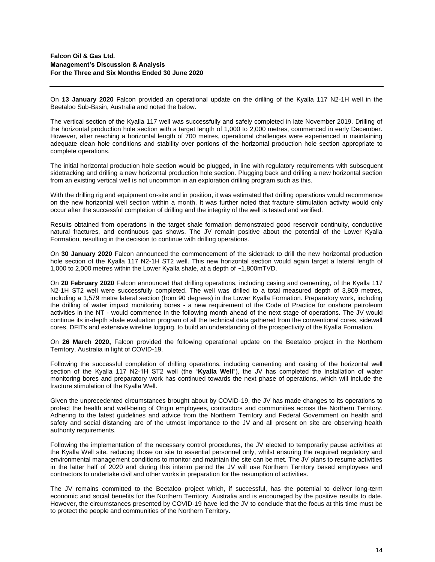On **13 January 2020** Falcon provided an operational update on the drilling of the Kyalla 117 N2-1H well in the Beetaloo Sub-Basin, Australia and noted the below.

The vertical section of the Kyalla 117 well was successfully and safely completed in late November 2019. Drilling of the horizontal production hole section with a target length of 1,000 to 2,000 metres, commenced in early December. However, after reaching a horizontal length of 700 metres, operational challenges were experienced in maintaining adequate clean hole conditions and stability over portions of the horizontal production hole section appropriate to complete operations.

The initial horizontal production hole section would be plugged, in line with regulatory requirements with subsequent sidetracking and drilling a new horizontal production hole section. Plugging back and drilling a new horizontal section from an existing vertical well is not uncommon in an exploration drilling program such as this.

With the drilling rig and equipment on-site and in position, it was estimated that drilling operations would recommence on the new horizontal well section within a month. It was further noted that fracture stimulation activity would only occur after the successful completion of drilling and the integrity of the well is tested and verified.

Results obtained from operations in the target shale formation demonstrated good reservoir continuity, conductive natural fractures, and continuous gas shows. The JV remain positive about the potential of the Lower Kyalla Formation, resulting in the decision to continue with drilling operations.

On **30 January 2020** Falcon announced the commencement of the sidetrack to drill the new horizontal production hole section of the Kyalla 117 N2-1H ST2 well. This new horizontal section would again target a lateral length of 1,000 to 2,000 metres within the Lower Kyalla shale, at a depth of ~1,800mTVD.

On **20 February 2020** Falcon announced that drilling operations, including casing and cementing, of the Kyalla 117 N2-1H ST2 well were successfully completed. The well was drilled to a total measured depth of 3,809 metres, including a 1,579 metre lateral section (from 90 degrees) in the Lower Kyalla Formation. Preparatory work, including the drilling of water impact monitoring bores - a new requirement of the Code of Practice for onshore petroleum activities in the NT - would commence in the following month ahead of the next stage of operations. The JV would continue its in-depth shale evaluation program of all the technical data gathered from the conventional cores, sidewall cores, DFITs and extensive wireline logging, to build an understanding of the prospectivity of the Kyalla Formation.

On **26 March 2020,** Falcon provided the following operational update on the Beetaloo project in the Northern Territory, Australia in light of COVID-19.

Following the successful completion of drilling operations, including cementing and casing of the horizontal well section of the Kyalla 117 N2-1H ST2 well (the "**Kyalla Well**"), the JV has completed the installation of water monitoring bores and preparatory work has continued towards the next phase of operations, which will include the fracture stimulation of the Kyalla Well.

Given the unprecedented circumstances brought about by COVID-19, the JV has made changes to its operations to protect the health and well-being of Origin employees, contractors and communities across the Northern Territory. Adhering to the latest guidelines and advice from the Northern Territory and Federal Government on health and safety and social distancing are of the utmost importance to the JV and all present on site are observing health authority requirements.

Following the implementation of the necessary control procedures, the JV elected to temporarily pause activities at the Kyalla Well site, reducing those on site to essential personnel only, whilst ensuring the required regulatory and environmental management conditions to monitor and maintain the site can be met. The JV plans to resume activities in the latter half of 2020 and during this interim period the JV will use Northern Territory based employees and contractors to undertake civil and other works in preparation for the resumption of activities.

The JV remains committed to the Beetaloo project which, if successful, has the potential to deliver long-term economic and social benefits for the Northern Territory, Australia and is encouraged by the positive results to date. However, the circumstances presented by COVID-19 have led the JV to conclude that the focus at this time must be to protect the people and communities of the Northern Territory.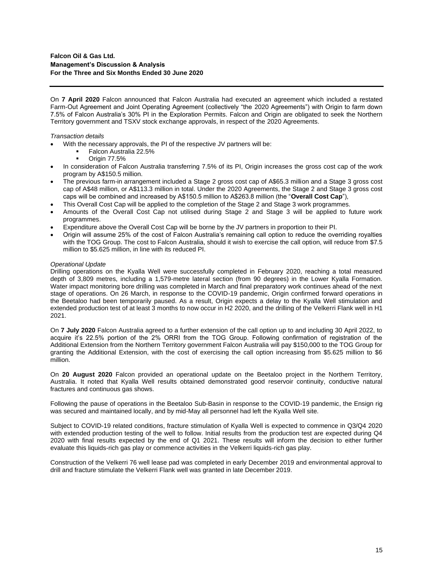On **7 April 2020** Falcon announced that Falcon Australia had executed an agreement which included a restated Farm-Out Agreement and Joint Operating Agreement (collectively "the 2020 Agreements") with Origin to farm down 7.5% of Falcon Australia's 30% PI in the Exploration Permits. Falcon and Origin are obligated to seek the Northern Territory government and TSXV stock exchange approvals, in respect of the 2020 Agreements.

## *Transaction details*

- With the necessary approvals, the PI of the respective JV partners will be:
	- Falcon Australia 22.5%
		- **Origin 77.5%**
- In consideration of Falcon Australia transferring 7.5% of its PI, Origin increases the gross cost cap of the work program by A\$150.5 million.
- The previous farm-in arrangement included a Stage 2 gross cost cap of A\$65.3 million and a Stage 3 gross cost cap of A\$48 million, or A\$113.3 million in total. Under the 2020 Agreements, the Stage 2 and Stage 3 gross cost caps will be combined and increased by A\$150.5 million to A\$263.8 million (the "**Overall Cost Cap**"),
- This Overall Cost Cap will be applied to the completion of the Stage 2 and Stage 3 work programmes.
- Amounts of the Overall Cost Cap not utilised during Stage 2 and Stage 3 will be applied to future work programmes.
- Expenditure above the Overall Cost Cap will be borne by the JV partners in proportion to their PI.
- Origin will assume 25% of the cost of Falcon Australia's remaining call option to reduce the overriding royalties with the TOG Group. The cost to Falcon Australia, should it wish to exercise the call option, will reduce from \$7.5 million to \$5.625 million, in line with its reduced PI.

## *Operational Update*

Drilling operations on the Kyalla Well were successfully completed in February 2020, reaching a total measured depth of 3,809 metres, including a 1,579-metre lateral section (from 90 degrees) in the Lower Kyalla Formation. Water impact monitoring bore drilling was completed in March and final preparatory work continues ahead of the next stage of operations. On 26 March, in response to the COVID-19 pandemic, Origin confirmed forward operations in the Beetaloo had been temporarily paused. As a result, Origin expects a delay to the Kyalla Well stimulation and extended production test of at least 3 months to now occur in H2 2020, and the drilling of the Velkerri Flank well in H1 2021.

On **7 July 2020** Falcon Australia agreed to a further extension of the call option up to and including 30 April 2022, to acquire it's 22.5% portion of the 2% ORRI from the TOG Group. Following confirmation of registration of the Additional Extension from the Northern Territory government Falcon Australia will pay \$150,000 to the TOG Group for granting the Additional Extension, with the cost of exercising the call option increasing from \$5.625 million to \$6 million.

On **20 August 2020** Falcon provided an operational update on the Beetaloo project in the Northern Territory, Australia. It noted that Kyalla Well results obtained demonstrated good reservoir continuity, conductive natural fractures and continuous gas shows.

Following the pause of operations in the Beetaloo Sub-Basin in response to the COVID-19 pandemic, the Ensign rig was secured and maintained locally, and by mid-May all personnel had left the Kyalla Well site.

Subject to COVID-19 related conditions, fracture stimulation of Kyalla Well is expected to commence in Q3/Q4 2020 with extended production testing of the well to follow. Initial results from the production test are expected during Q4 2020 with final results expected by the end of Q1 2021. These results will inform the decision to either further evaluate this liquids-rich gas play or commence activities in the Velkerri liquids-rich gas play.

Construction of the Velkerri 76 well lease pad was completed in early December 2019 and environmental approval to drill and fracture stimulate the Velkerri Flank well was granted in late December 2019.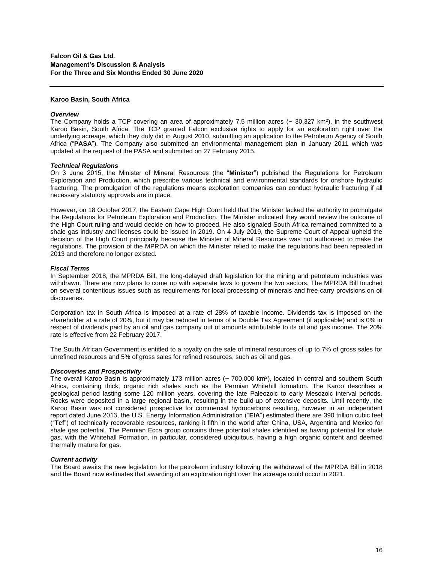### **Karoo Basin, South Africa**

#### *Overview*

The Company holds a TCP covering an area of approximately  $7.5$  million acres ( $\sim$  30,327 km<sup>2</sup>), in the southwest Karoo Basin, South Africa. The TCP granted Falcon exclusive rights to apply for an exploration right over the underlying acreage, which they duly did in August 2010, submitting an application to the Petroleum Agency of South Africa ("**PASA**"). The Company also submitted an environmental management plan in January 2011 which was updated at the request of the PASA and submitted on 27 February 2015.

#### *Technical Regulations*

On 3 June 2015, the Minister of Mineral Resources (the "**Minister**") published the Regulations for Petroleum Exploration and Production, which prescribe various technical and environmental standards for onshore hydraulic fracturing. The promulgation of the regulations means exploration companies can conduct hydraulic fracturing if all necessary statutory approvals are in place.

However, on 18 October 2017, the Eastern Cape High Court held that the Minister lacked the authority to promulgate the Regulations for Petroleum Exploration and Production. The Minister indicated they would review the outcome of the High Court ruling and would decide on how to proceed. He also signaled South Africa remained committed to a shale gas industry and licenses could be issued in 2019. On 4 July 2019, the Supreme Court of Appeal upheld the decision of the High Court principally because the Minister of Mineral Resources was not authorised to make the regulations. The provision of the MPRDA on which the Minister relied to make the regulations had been repealed in 2013 and therefore no longer existed.

#### *Fiscal Terms*

In September 2018, the MPRDA Bill, the long-delayed draft legislation for the mining and petroleum industries was withdrawn. There are now plans to come up with separate laws to govern the two sectors. The MPRDA Bill touched on several contentious issues such as requirements for local processing of minerals and [free-carry provisions](https://www.biznews.com/sa-investing/2018/06/25/court-minerals-lobby-fighting-mantashe-free-carry) on oil discoveries.

Corporation tax in South Africa is imposed at a rate of 28% of taxable income. Dividends tax is imposed on the shareholder at a rate of 20%, but it may be reduced in terms of a Double Tax Agreement (if applicable) and is 0% in respect of dividends paid by an oil and gas company out of amounts attributable to its oil and gas income. The 20% rate is effective from 22 February 2017.

The South African Government is entitled to a royalty on the sale of mineral resources of up to 7% of gross sales for unrefined resources and 5% of gross sales for refined resources, such as oil and gas.

#### *Discoveries and Prospectivity*

The overall Karoo Basin is approximately 173 million acres (~ 700,000 km<sup>2</sup>), located in central and southern South Africa, containing thick, organic rich shales such as the Permian Whitehill formation. The Karoo describes a geological period lasting some 120 million years, covering the late Paleozoic to early Mesozoic interval periods. Rocks were deposited in a large regional basin, resulting in the build-up of extensive deposits. Until recently, the Karoo Basin was not considered prospective for commercial hydrocarbons resulting, however in an independent report dated June 2013, the U.S. Energy Information Administration ("**EIA**") estimated there are 390 trillion cubic feet ("**Tcf**") of technically recoverable resources, ranking it fifth in the world after China, USA, Argentina and Mexico for shale gas potential. The Permian Ecca group contains three potential shales identified as having potential for shale gas, with the Whitehall Formation, in particular, considered ubiquitous, having a high organic content and deemed thermally mature for gas.

#### *Current activity*

The Board awaits the new legislation for the petroleum industry following the withdrawal of the MPRDA Bill in 2018 and the Board now estimates that awarding of an exploration right over the acreage could occur in 2021.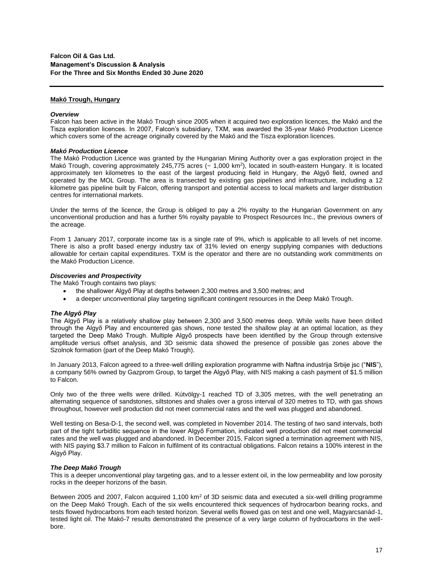### **Makó Trough, Hungary**

#### *Overview*

Falcon has been active in the Makó Trough since 2005 when it acquired two exploration licences, the Makó and the Tisza exploration licences. In 2007, Falcon's subsidiary, TXM, was awarded the 35-year Makó Production Licence which covers some of the acreage originally covered by the Makó and the Tisza exploration licences.

### *Makó Production Licence*

The Makó Production Licence was granted by the Hungarian Mining Authority over a gas exploration project in the Makó Trough, covering approximately 245,775 acres ( $\sim 1,000$  km<sup>2</sup>), located in south-eastern Hungary. It is located approximately ten kilometres to the east of the largest producing field in Hungary, the Algyő field, owned and operated by the MOL Group. The area is transected by existing gas pipelines and infrastructure, including a 12 kilometre gas pipeline built by Falcon, offering transport and potential access to local markets and larger distribution centres for international markets.

Under the terms of the licence, the Group is obliged to pay a 2% royalty to the Hungarian Government on any unconventional production and has a further 5% royalty payable to Prospect Resources Inc., the previous owners of the acreage.

From 1 January 2017, corporate income tax is a single rate of 9%, which is applicable to all levels of net income. There is also a profit based energy industry tax of 31% levied on energy supplying companies with deductions allowable for certain capital expenditures. TXM is the operator and there are no outstanding work commitments on the Makó Production Licence.

### *Discoveries and Prospectivity*

The Makó Trough contains two plays:

- the shallower Algyő Play at depths between 2,300 metres and 3,500 metres; and
- a deeper unconventional play targeting significant contingent resources in the Deep Makó Trough.

## *The Algyő Play*

The Algyő Play is a relatively shallow play between 2,300 and 3,500 metres deep. While wells have been drilled through the Algyő Play and encountered gas shows, none tested the shallow play at an optimal location, as they targeted the Deep Makó Trough. Multiple Algyő prospects have been identified by the Group through extensive amplitude versus offset analysis, and 3D seismic data showed the presence of possible gas zones above the Szolnok formation (part of the Deep Makó Trough).

In January 2013, Falcon agreed to a three-well drilling exploration programme with Naftna industrija Srbije jsc ("**NIS**"), a company 56% owned by Gazprom Group, to target the Algyő Play, with NIS making a cash payment of \$1.5 million to Falcon.

Only two of the three wells were drilled. Kútvölgy-1 reached TD of 3,305 metres, with the well penetrating an alternating sequence of sandstones, siltstones and shales over a gross interval of 320 metres to TD, with gas shows throughout, however well production did not meet commercial rates and the well was plugged and abandoned.

Well testing on Besa-D-1, the second well, was completed in November 2014. The testing of two sand intervals, both part of the tight turbiditic sequence in the lower Algyő Formation, indicated well production did not meet commercial rates and the well was plugged and abandoned. In December 2015, Falcon signed a termination agreement with NIS, with NIS paying \$3.7 million to Falcon in fulfilment of its contractual obligations. Falcon retains a 100% interest in the Algyő Play.

#### *The Deep Makó Trough*

This is a deeper unconventional play targeting gas, and to a lesser extent oil, in the low permeability and low porosity rocks in the deeper horizons of the basin.

Between 2005 and 2007, Falcon acquired 1,100 km<sup>2</sup> of 3D seismic data and executed a six-well drilling programme on the Deep Makó Trough. Each of the six wells encountered thick sequences of hydrocarbon bearing rocks, and tests flowed hydrocarbons from each tested horizon. Several wells flowed gas on test and one well, Magyarcsanád-1, tested light oil. The Makó-7 results demonstrated the presence of a very large column of hydrocarbons in the wellbore.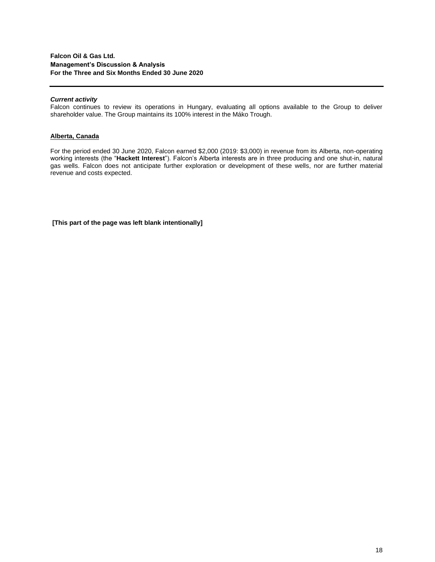## *Current activity*

Falcon continues to review its operations in Hungary, evaluating all options available to the Group to deliver shareholder value. The Group maintains its 100% interest in the Máko Trough.

## **Alberta, Canada**

For the period ended 30 June 2020, Falcon earned \$2,000 (2019: \$3,000) in revenue from its Alberta, non-operating working interests (the "**Hackett Interest**"). Falcon's Alberta interests are in three producing and one shut-in, natural gas wells. Falcon does not anticipate further exploration or development of these wells, nor are further material revenue and costs expected.

**[This part of the page was left blank intentionally]**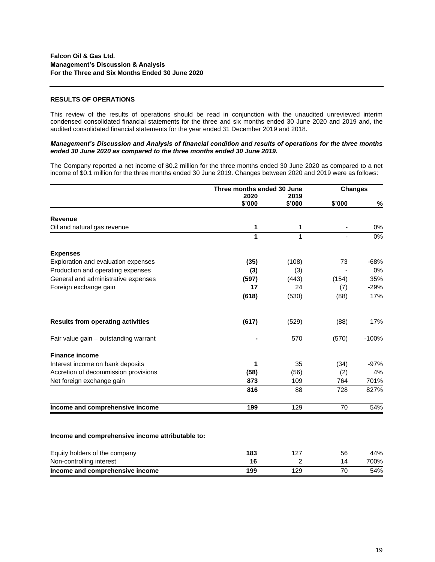### **RESULTS OF OPERATIONS**

This review of the results of operations should be read in conjunction with the unaudited unreviewed interim condensed consolidated financial statements for the three and six months ended 30 June 2020 and 2019 and, the audited consolidated financial statements for the year ended 31 December 2019 and 2018.

### *Management's Discussion and Analysis of financial condition and results of operations for the three months ended 30 June 2020 as compared to the three months ended 30 June 2019.*

The Company reported a net income of \$0.2 million for the three months ended 30 June 2020 as compared to a net income of \$0.1 million for the three months ended 30 June 2019. Changes between 2020 and 2019 were as follows:

|                                          | Three months ended 30 June |        | <b>Changes</b> |                  |
|------------------------------------------|----------------------------|--------|----------------|------------------|
|                                          | 2020                       | 2019   |                |                  |
|                                          | \$'000                     | \$'000 | \$'000         | %                |
| <b>Revenue</b>                           |                            |        |                |                  |
| Oil and natural gas revenue              | 1                          | 1      |                | 0%               |
|                                          | 1                          | 1      |                | $\overline{0\%}$ |
| <b>Expenses</b>                          |                            |        |                |                  |
| Exploration and evaluation expenses      | (35)                       | (108)  | 73             | $-68%$           |
| Production and operating expenses        | (3)                        | (3)    |                | 0%               |
| General and administrative expenses      | (597)                      | (443)  | (154)          | 35%              |
| Foreign exchange gain                    | 17                         | 24     | (7)            | $-29%$           |
|                                          | (618)                      | (530)  | (88)           | 17%              |
| <b>Results from operating activities</b> | (617)                      | (529)  | (88)           | 17%              |
| Fair value gain - outstanding warrant    |                            | 570    | (570)          | $-100%$          |
| <b>Finance income</b>                    |                            |        |                |                  |
| Interest income on bank deposits         | 1                          | 35     | (34)           | $-97%$           |
| Accretion of decommission provisions     | (58)                       | (56)   | (2)            | 4%               |
| Net foreign exchange gain                | 873                        | 109    | 764            | 701%             |
|                                          | 816                        | 88     | 728            | 827%             |
| Income and comprehensive income          | 199                        | 129    | 70             | 54%              |

| Equity holders of the company   | 183 |     | 56 | 44%  |
|---------------------------------|-----|-----|----|------|
| Non-controlling interest        |     |     | 14 | 700% |
| Income and comprehensive income | 199 | 129 |    | 54%  |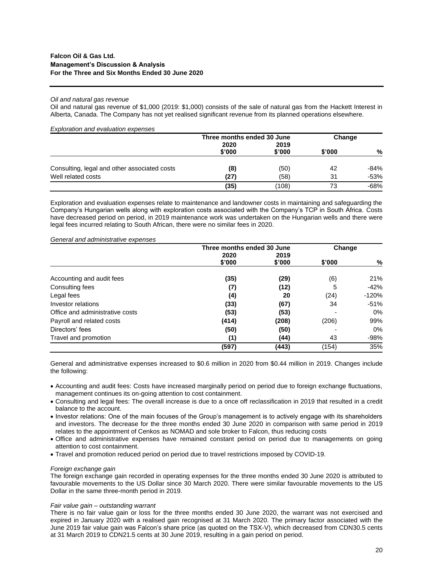### *Oil and natural gas revenue*

Oil and natural gas revenue of \$1,000 (2019: \$1,000) consists of the sale of natural gas from the Hackett Interest in Alberta, Canada. The Company has not yet realised significant revenue from its planned operations elsewhere.

| <b>Exploration and evaluation expenses</b>   |                            |        |        |      |  |
|----------------------------------------------|----------------------------|--------|--------|------|--|
|                                              | Three months ended 30 June |        | Change |      |  |
|                                              | 2020                       |        | 2019   |      |  |
|                                              | \$'000                     | \$'000 | \$'000 | %    |  |
| Consulting, legal and other associated costs | (8)                        | (50)   | 42     | -84% |  |
| Well related costs                           | (27)                       | (58)   | 31     | -53% |  |
|                                              | (35)                       | (108)  | 73     | -68% |  |

Exploration and evaluation expenses relate to maintenance and landowner costs in maintaining and safeguarding the Company's Hungarian wells along with exploration costs associated with the Company's TCP in South Africa. Costs have decreased period on period, in 2019 maintenance work was undertaken on the Hungarian wells and there were legal fees incurred relating to South African, there were no similar fees in 2020.

## *General and administrative expenses*

|                                 | Three months ended 30 June<br>2020<br>2019 |        | Change |         |
|---------------------------------|--------------------------------------------|--------|--------|---------|
|                                 | \$'000                                     | \$'000 | \$'000 | %       |
| Accounting and audit fees       | (35)                                       | (29)   | (6)    | 21%     |
| Consulting fees                 | (7)                                        | (12)   | 5      | $-42%$  |
| Legal fees                      | (4)                                        | 20     | (24)   | $-120%$ |
| Investor relations              | (33)                                       | (67)   | 34     | $-51%$  |
| Office and administrative costs | (53)                                       | (53)   |        | 0%      |
| Payroll and related costs       | (414)                                      | (208)  | (206)  | 99%     |
| Directors' fees                 | (50)                                       | (50)   |        | 0%      |
| Travel and promotion            | (1)                                        | (44)   | 43     | $-98%$  |
|                                 | (597)                                      | (443)  | (154)  | 35%     |

General and administrative expenses increased to \$0.6 million in 2020 from \$0.44 million in 2019. Changes include the following:

- Accounting and audit fees: Costs have increased marginally period on period due to foreign exchange fluctuations, management continues its on-going attention to cost containment.
- Consulting and legal fees: The overall increase is due to a once off reclassification in 2019 that resulted in a credit balance to the account.
- Investor relations: One of the main focuses of the Group's management is to actively engage with its shareholders and investors. The decrease for the three months ended 30 June 2020 in comparison with same period in 2019 relates to the appointment of Cenkos as NOMAD and sole broker to Falcon, thus reducing costs
- Office and administrative expenses have remained constant period on period due to managements on going attention to cost containment.
- Travel and promotion reduced period on period due to travel restrictions imposed by COVID-19.

#### *Foreign exchange gain*

The foreign exchange gain recorded in operating expenses for the three months ended 30 June 2020 is attributed to favourable movements to the US Dollar since 30 March 2020. There were similar favourable movements to the US Dollar in the same three-month period in 2019.

#### *Fair value gain – outstanding warrant*

There is no fair value gain or loss for the three months ended 30 June 2020, the warrant was not exercised and expired in January 2020 with a realised gain recognised at 31 March 2020. The primary factor associated with the June 2019 fair value gain was Falcon's share price (as quoted on the TSX-V), which decreased from CDN30.5 cents at 31 March 2019 to CDN21.5 cents at 30 June 2019, resulting in a gain period on period.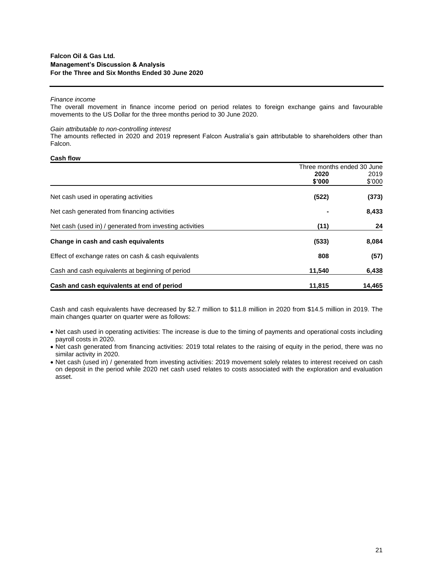#### *Finance income*

The overall movement in finance income period on period relates to foreign exchange gains and favourable movements to the US Dollar for the three months period to 30 June 2020.

#### *Gain attributable to non-controlling interest*

The amounts reflected in 2020 and 2019 represent Falcon Australia's gain attributable to shareholders other than Falcon.

### **Cash flow**

|                                                          | Three months ended 30 June |        |
|----------------------------------------------------------|----------------------------|--------|
|                                                          | 2020                       | 2019   |
|                                                          | \$'000                     | \$'000 |
| Net cash used in operating activities                    | (522)                      | (373)  |
| Net cash generated from financing activities             |                            | 8,433  |
| Net cash (used in) / generated from investing activities | (11)                       | 24     |
| Change in cash and cash equivalents                      | (533)                      | 8,084  |
| Effect of exchange rates on cash & cash equivalents      | 808                        | (57)   |
| Cash and cash equivalents at beginning of period         | 11.540                     | 6,438  |
| Cash and cash equivalents at end of period               | 11,815                     | 14,465 |

Cash and cash equivalents have decreased by \$2.7 million to \$11.8 million in 2020 from \$14.5 million in 2019. The main changes quarter on quarter were as follows:

- Net cash used in operating activities: The increase is due to the timing of payments and operational costs including payroll costs in 2020.
- Net cash generated from financing activities: 2019 total relates to the raising of equity in the period, there was no similar activity in 2020.
- Net cash (used in) / generated from investing activities: 2019 movement solely relates to interest received on cash on deposit in the period while 2020 net cash used relates to costs associated with the exploration and evaluation asset.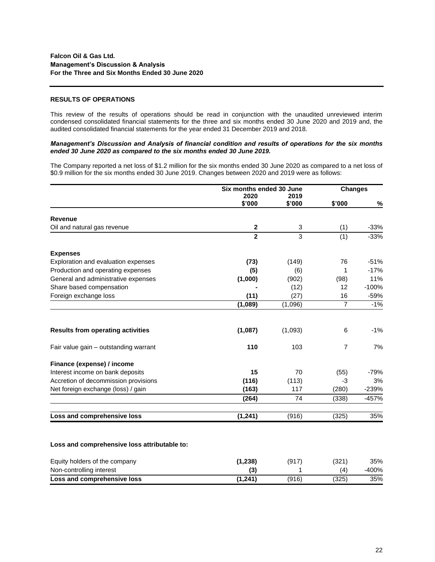### **RESULTS OF OPERATIONS**

This review of the results of operations should be read in conjunction with the unaudited unreviewed interim condensed consolidated financial statements for the three and six months ended 30 June 2020 and 2019 and, the audited consolidated financial statements for the year ended 31 December 2019 and 2018.

### *Management's Discussion and Analysis of financial condition and results of operations for the six months ended 30 June 2020 as compared to the six months ended 30 June 2019.*

The Company reported a net loss of \$1.2 million for the six months ended 30 June 2020 as compared to a net loss of \$0.9 million for the six months ended 30 June 2019. Changes between 2020 and 2019 were as follows:

|                                          | Six months ended 30 June |         | <b>Changes</b> |         |
|------------------------------------------|--------------------------|---------|----------------|---------|
|                                          | 2020                     | 2019    |                |         |
|                                          | \$'000                   | \$'000  | \$'000         | $\%$    |
| <b>Revenue</b>                           |                          |         |                |         |
| Oil and natural gas revenue              | $\mathbf 2$              | 3       | (1)            | $-33%$  |
|                                          | $\mathbf{2}$             | 3       | (1)            | $-33%$  |
| <b>Expenses</b>                          |                          |         |                |         |
| Exploration and evaluation expenses      | (73)                     | (149)   | 76             | $-51%$  |
| Production and operating expenses        | (5)                      | (6)     | 1              | $-17%$  |
| General and administrative expenses      | (1,000)                  | (902)   | (98)           | 11%     |
| Share based compensation                 |                          | (12)    | 12             | $-100%$ |
| Foreign exchange loss                    | (11)                     | (27)    | 16             | $-59%$  |
|                                          | (1,089)                  | (1,096) | $\overline{7}$ | $-1%$   |
| <b>Results from operating activities</b> | (1,087)                  | (1,093) | 6              | -1%     |
| Fair value gain - outstanding warrant    | 110                      | 103     | $\overline{7}$ | 7%      |
| Finance (expense) / income               |                          |         |                |         |
| Interest income on bank deposits         | 15                       | 70      | (55)           | -79%    |
| Accretion of decommission provisions     | (116)                    | (113)   | -3             | 3%      |
| Net foreign exchange (loss) / gain       | (163)                    | 117     | (280)          | $-239%$ |
|                                          | (264)                    | 74      | (338)          | $-457%$ |
| Loss and comprehensive loss              | (1, 241)                 | (916)   | (325)          | 35%     |

#### **Loss and comprehensive loss attributable to:**

| Equity holders of the company | (1, 238) | (917  | (321) | 35%     |
|-------------------------------|----------|-------|-------|---------|
| Non-controlling interest      | (3)      |       | (4    | $-400%$ |
| Loss and comprehensive loss   | (1,241)  | (916) | (325) | 35%     |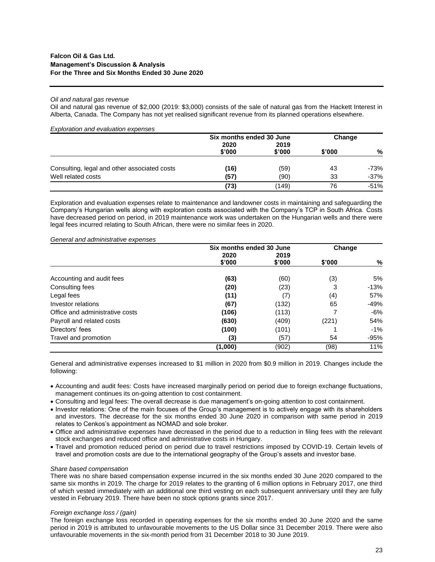### *Oil and natural gas revenue*

Oil and natural gas revenue of \$2,000 (2019: \$3,000) consists of the sale of natural gas from the Hackett Interest in Alberta, Canada. The Company has not yet realised significant revenue from its planned operations elsewhere.

| <b>Exploration and evaluation expenses</b>   |                          |        |        |        |
|----------------------------------------------|--------------------------|--------|--------|--------|
|                                              | Six months ended 30 June |        | Change |        |
|                                              | 2020                     | 2019   |        |        |
|                                              | \$'000                   | \$'000 | \$'000 | %      |
| Consulting, legal and other associated costs | (16)                     | (59)   | 43     | -73%   |
| Well related costs                           | (57)                     | (90)   | 33     | $-37%$ |
|                                              | (73)                     | (149)  | 76     | $-51%$ |

Exploration and evaluation expenses relate to maintenance and landowner costs in maintaining and safeguarding the Company's Hungarian wells along with exploration costs associated with the Company's TCP in South Africa. Costs have decreased period on period, in 2019 maintenance work was undertaken on the Hungarian wells and there were legal fees incurred relating to South African, there were no similar fees in 2020.

#### *General and administrative expenses*

|                                 | Six months ended 30 June |        | Change |        |
|---------------------------------|--------------------------|--------|--------|--------|
|                                 | 2020                     | 2019   |        |        |
|                                 | \$'000                   | \$'000 | \$'000 | %      |
| Accounting and audit fees       | (63)                     | (60)   | (3)    | 5%     |
| Consulting fees                 | (20)                     | (23)   | 3      | $-13%$ |
| Legal fees                      | (11)                     | (7)    | (4)    | 57%    |
| Investor relations              | (67)                     | (132)  | 65     | $-49%$ |
| Office and administrative costs | (106)                    | (113)  |        | $-6%$  |
| Payroll and related costs       | (630)                    | (409)  | (221)  | 54%    |
| Directors' fees                 | (100)                    | (101)  |        | $-1%$  |
| Travel and promotion            | (3)                      | (57)   | 54     | $-95%$ |
|                                 | (1,000)                  | (902)  | (98)   | 11%    |

General and administrative expenses increased to \$1 million in 2020 from \$0.9 million in 2019. Changes include the following:

- Accounting and audit fees: Costs have increased marginally period on period due to foreign exchange fluctuations, management continues its on-going attention to cost containment.
- Consulting and legal fees: The overall decrease is due management's on-going attention to cost containment.
- Investor relations: One of the main focuses of the Group's management is to actively engage with its shareholders and investors. The decrease for the six months ended 30 June 2020 in comparison with same period in 2019 relates to Cenkos's appointment as NOMAD and sole broker.
- Office and administrative expenses have decreased in the period due to a reduction in filing fees with the relevant stock exchanges and reduced office and administrative costs in Hungary.
- Travel and promotion reduced period on period due to travel restrictions imposed by COVID-19. Certain levels of travel and promotion costs are due to the international geography of the Group's assets and investor base.

#### *Share based compensation*

There was no share based compensation expense incurred in the six months ended 30 June 2020 compared to the same six months in 2019. The charge for 2019 relates to the granting of 6 million options in February 2017, one third of which vested immediately with an additional one third vesting on each subsequent anniversary until they are fully vested in February 2019. There have been no stock options grants since 2017.

#### *Foreign exchange loss / (gain)*

The foreign exchange loss recorded in operating expenses for the six months ended 30 June 2020 and the same period in 2019 is attributed to unfavourable movements to the US Dollar since 31 December 2019. There were also unfavourable movements in the six-month period from 31 December 2018 to 30 June 2019.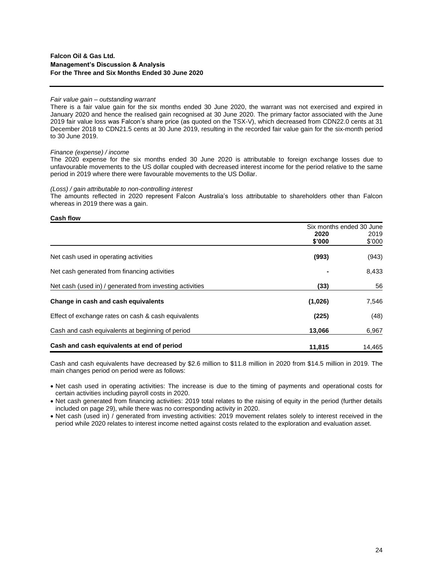### *Fair value gain – outstanding warrant*

There is a fair value gain for the six months ended 30 June 2020, the warrant was not exercised and expired in January 2020 and hence the realised gain recognised at 30 June 2020. The primary factor associated with the June 2019 fair value loss was Falcon's share price (as quoted on the TSX-V), which decreased from CDN22.0 cents at 31 December 2018 to CDN21.5 cents at 30 June 2019, resulting in the recorded fair value gain for the six-month period to 30 June 2019.

### *Finance (expense) / income*

The 2020 expense for the six months ended 30 June 2020 is attributable to foreign exchange losses due to unfavourable movements to the US dollar coupled with decreased interest income for the period relative to the same period in 2019 where there were favourable movements to the US Dollar.

### *(Loss) / gain attributable to non-controlling interest*

The amounts reflected in 2020 represent Falcon Australia's loss attributable to shareholders other than Falcon whereas in 2019 there was a gain.

#### **Cash flow**

|                                                          | Six months ended 30 June |        |
|----------------------------------------------------------|--------------------------|--------|
|                                                          | 2020                     | 2019   |
|                                                          | \$'000                   | \$'000 |
| Net cash used in operating activities                    | (993)                    | (943)  |
| Net cash generated from financing activities             |                          | 8,433  |
| Net cash (used in) / generated from investing activities | (33)                     | 56     |
| Change in cash and cash equivalents                      | (1,026)                  | 7,546  |
| Effect of exchange rates on cash & cash equivalents      | (225)                    | (48)   |
| Cash and cash equivalents at beginning of period         | 13,066                   | 6,967  |
| Cash and cash equivalents at end of period               | 11.815                   | 14.465 |

Cash and cash equivalents have decreased by \$2.6 million to \$11.8 million in 2020 from \$14.5 million in 2019. The main changes period on period were as follows:

- Net cash used in operating activities: The increase is due to the timing of payments and operational costs for certain activities including payroll costs in 2020.
- Net cash generated from financing activities: 2019 total relates to the raising of equity in the period (further details included on page 29), while there was no corresponding activity in 2020.
- Net cash (used in) / generated from investing activities: 2019 movement relates solely to interest received in the period while 2020 relates to interest income netted against costs related to the exploration and evaluation asset.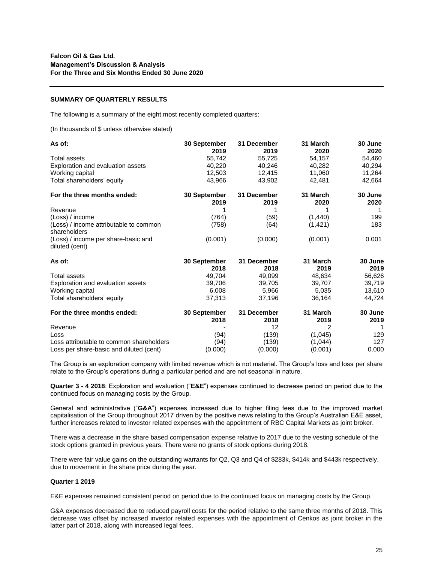### **SUMMARY OF QUARTERLY RESULTS**

The following is a summary of the eight most recently completed quarters:

(In thousands of \$ unless otherwise stated)

| As of:                                                 | 30 September<br>2019 | 31 December<br>2019 | 31 March<br>2020 | 30 June<br>2020 |
|--------------------------------------------------------|----------------------|---------------------|------------------|-----------------|
| Total assets                                           | 55,742               | 55,725              | 54,157           | 54,460          |
| Exploration and evaluation assets                      | 40,220               | 40,246              | 40,282           | 40,294          |
| Working capital                                        | 12,503               | 12,415              | 11,060           | 11,264          |
| Total shareholders' equity                             | 43.966               | 43,902              | 42.481           | 42,664          |
| For the three months ended:                            | 30 September         | 31 December         | 31 March         | 30 June         |
|                                                        | 2019                 | 2019                | 2020             | 2020            |
| Revenue                                                |                      |                     |                  |                 |
| (Loss) / income                                        | (764)                | (59)                | (1,440)          | 199             |
| (Loss) / income attributable to common<br>shareholders | (758)                | (64)                | (1, 421)         | 183             |
| (Loss) / income per share-basic and<br>diluted (cent)  | (0.001)              | (0.000)             | (0.001)          | 0.001           |
| As of:                                                 | 30 September         | 31 December         | 31 March         | 30 June         |
|                                                        | 2018                 | 2018                | 2019             | 2019            |
| Total assets                                           | 49,704               | 49,099              | 48,634           | 56,626          |
| Exploration and evaluation assets                      | 39,706               | 39,705              | 39,707           | 39,719          |
| Working capital                                        | 6,008                | 5,966               | 5,035            | 13,610          |
| Total shareholders' equity                             | 37,313               | 37,196              | 36,164           | 44,724          |
| For the three months ended:                            | 30 September<br>2018 | 31 December<br>2018 | 31 March<br>2019 | 30 June<br>2019 |
|                                                        |                      | 12                  | 2                | 1               |
| Revenue<br>Loss                                        | (94)                 | (139)               | (1,045)          | 129             |
| Loss attributable to common shareholders               | (94)                 | (139)               | (1,044)          | 127             |
| Loss per share-basic and diluted (cent)                | (0.000)              | (0.000)             | (0.001)          | 0.000           |

The Group is an exploration company with limited revenue which is not material. The Group's loss and loss per share relate to the Group's operations during a particular period and are not seasonal in nature.

**Quarter 3 - 4 2018**: Exploration and evaluation ("**E&E**") expenses continued to decrease period on period due to the continued focus on managing costs by the Group.

General and administrative ("**G&A**") expenses increased due to higher filing fees due to the improved market capitalisation of the Group throughout 2017 driven by the positive news relating to the Group's Australian E&E asset, further increases related to investor related expenses with the appointment of RBC Capital Markets as joint broker.

There was a decrease in the share based compensation expense relative to 2017 due to the vesting schedule of the stock options granted in previous years. There were no grants of stock options during 2018.

There were fair value gains on the outstanding warrants for Q2, Q3 and Q4 of \$283k, \$414k and \$443k respectively, due to movement in the share price during the year.

#### **Quarter 1 2019**

E&E expenses remained consistent period on period due to the continued focus on managing costs by the Group.

G&A expenses decreased due to reduced payroll costs for the period relative to the same three months of 2018. This decrease was offset by increased investor related expenses with the appointment of Cenkos as joint broker in the latter part of 2018, along with increased legal fees.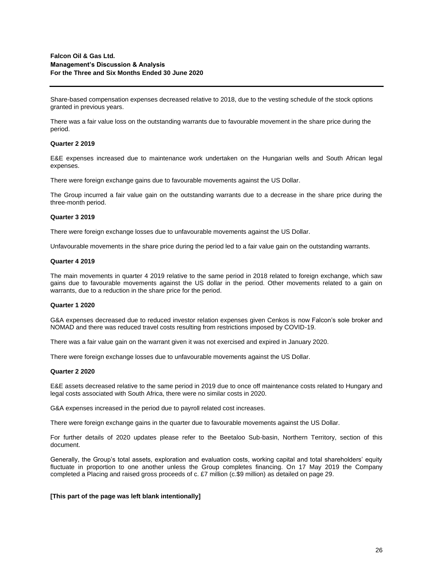Share-based compensation expenses decreased relative to 2018, due to the vesting schedule of the stock options granted in previous years.

There was a fair value loss on the outstanding warrants due to favourable movement in the share price during the period.

### **Quarter 2 2019**

E&E expenses increased due to maintenance work undertaken on the Hungarian wells and South African legal expenses.

There were foreign exchange gains due to favourable movements against the US Dollar.

The Group incurred a fair value gain on the outstanding warrants due to a decrease in the share price during the three-month period.

### **Quarter 3 2019**

There were foreign exchange losses due to unfavourable movements against the US Dollar.

Unfavourable movements in the share price during the period led to a fair value gain on the outstanding warrants.

## **Quarter 4 2019**

The main movements in quarter 4 2019 relative to the same period in 2018 related to foreign exchange, which saw gains due to favourable movements against the US dollar in the period. Other movements related to a gain on warrants, due to a reduction in the share price for the period.

#### **Quarter 1 2020**

G&A expenses decreased due to reduced investor relation expenses given Cenkos is now Falcon's sole broker and NOMAD and there was reduced travel costs resulting from restrictions imposed by COVID-19.

There was a fair value gain on the warrant given it was not exercised and expired in January 2020.

There were foreign exchange losses due to unfavourable movements against the US Dollar.

#### **Quarter 2 2020**

E&E assets decreased relative to the same period in 2019 due to once off maintenance costs related to Hungary and legal costs associated with South Africa, there were no similar costs in 2020.

G&A expenses increased in the period due to payroll related cost increases.

There were foreign exchange gains in the quarter due to favourable movements against the US Dollar.

For further details of 2020 updates please refer to the Beetaloo Sub-basin, Northern Territory, section of this document.

Generally, the Group's total assets, exploration and evaluation costs, working capital and total shareholders' equity fluctuate in proportion to one another unless the Group completes financing. On 17 May 2019 the Company completed a Placing and raised gross proceeds of c. £7 million (c.\$9 million) as detailed on page 29.

#### **[This part of the page was left blank intentionally]**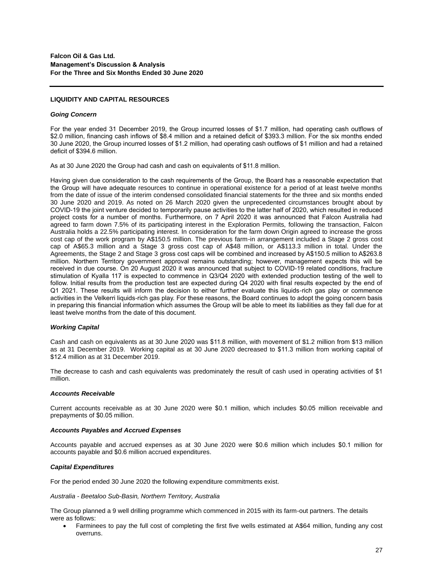## **LIQUIDITY AND CAPITAL RESOURCES**

#### *Going Concern*

For the year ended 31 December 2019, the Group incurred losses of \$1.7 million, had operating cash outflows of \$2.0 million, financing cash inflows of \$8.4 million and a retained deficit of \$393.3 million. For the six months ended 30 June 2020, the Group incurred losses of \$1.2 million, had operating cash outflows of \$1 million and had a retained deficit of \$394.6 million.

As at 30 June 2020 the Group had cash and cash on equivalents of \$11.8 million.

Having given due consideration to the cash requirements of the Group, the Board has a reasonable expectation that the Group will have adequate resources to continue in operational existence for a period of at least twelve months from the date of issue of the interim condensed consolidated financial statements for the three and six months ended 30 June 2020 and 2019. As noted on 26 March 2020 given the unprecedented circumstances brought about by COVID-19 the joint venture decided to temporarily pause activities to the latter half of 2020, which resulted in reduced project costs for a number of months. Furthermore, on 7 April 2020 it was announced that Falcon Australia had agreed to farm down 7.5% of its participating interest in the Exploration Permits, following the transaction, Falcon Australia holds a 22.5% participating interest. In consideration for the farm down Origin agreed to increase the gross cost cap of the work program by A\$150.5 million. The previous farm-in arrangement included a Stage 2 gross cost cap of A\$65.3 million and a Stage 3 gross cost cap of A\$48 million, or A\$113.3 million in total. Under the Agreements, the Stage 2 and Stage 3 gross cost caps will be combined and increased by A\$150.5 million to A\$263.8 million. Northern Territory government approval remains outstanding; however, management expects this will be received in due course. On 20 August 2020 it was announced that subject to COVID-19 related conditions, fracture stimulation of Kyalla 117 is expected to commence in Q3/Q4 2020 with extended production testing of the well to follow. Initial results from the production test are expected during Q4 2020 with final results expected by the end of Q1 2021. These results will inform the decision to either further evaluate this liquids-rich gas play or commence activities in the Velkerri liquids-rich gas play. For these reasons, the Board continues to adopt the going concern basis in preparing this financial information which assumes the Group will be able to meet its liabilities as they fall due for at least twelve months from the date of this document.

## *Working Capital*

Cash and cash on equivalents as at 30 June 2020 was \$11.8 million, with movement of \$1.2 million from \$13 million as at 31 December 2019. Working capital as at 30 June 2020 decreased to \$11.3 million from working capital of \$12.4 million as at 31 December 2019.

The decrease to cash and cash equivalents was predominately the result of cash used in operating activities of \$1 million.

## *Accounts Receivable*

Current accounts receivable as at 30 June 2020 were \$0.1 million, which includes \$0.05 million receivable and prepayments of \$0.05 million.

#### *Accounts Payables and Accrued Expenses*

Accounts payable and accrued expenses as at 30 June 2020 were \$0.6 million which includes \$0.1 million for accounts payable and \$0.6 million accrued expenditures.

## *Capital Expenditures*

For the period ended 30 June 2020 the following expenditure commitments exist.

### *Australia - Beetaloo Sub-Basin, Northern Territory, Australia*

The Group planned a 9 well drilling programme which commenced in 2015 with its farm-out partners. The details were as follows:

• Farminees to pay the full cost of completing the first five wells estimated at A\$64 million, funding any cost overruns.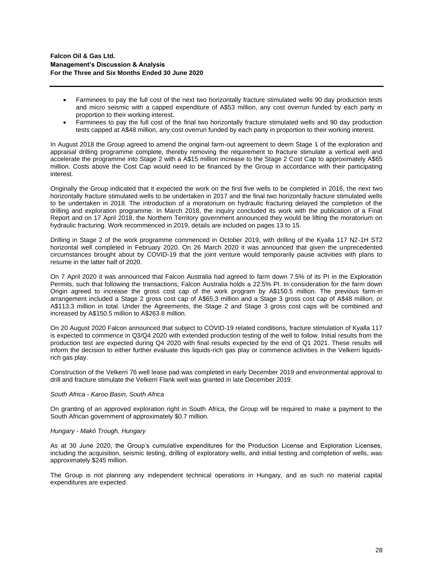- Farminees to pay the full cost of the next two horizontally fracture stimulated wells 90 day production tests and micro seismic with a capped expenditure of A\$53 million, any cost overrun funded by each party in proportion to their working interest.
- Farminees to pay the full cost of the final two horizontally fracture stimulated wells and 90 day production tests capped at A\$48 million, any cost overrun funded by each party in proportion to their working interest.

In August 2018 the Group agreed to amend the original farm-out agreement to deem Stage 1 of the exploration and appraisal drilling programme complete, thereby removing the requirement to fracture stimulate a vertical well and accelerate the programme into Stage 2 with a A\$15 million increase to the Stage 2 Cost Cap to approximately A\$65 million. Costs above the Cost Cap would need to be financed by the Group in accordance with their participating interest.

Originally the Group indicated that it expected the work on the first five wells to be completed in 2016, the next two horizontally fracture stimulated wells to be undertaken in 2017 and the final two horizontally fracture stimulated wells to be undertaken in 2018. The introduction of a moratorium on hydraulic fracturing delayed the completion of the drilling and exploration programme. In March 2018, the inquiry concluded its work with the publication of a Final Report and on 17 April 2018, the Northern Territory government announced they would be lifting the moratorium on hydraulic fracturing. Work recommenced in 2019, details are included on pages 13 to 15.

Drilling in Stage 2 of the work programme commenced in October 2019, with drilling of the Kyalla 117 N2-1H ST2 horizontal well completed in February 2020. On 26 March 2020 it was announced that given the unprecedented circumstances brought about by COVID-19 that the joint venture would temporarily pause activities with plans to resume in the latter half of 2020.

On 7 April 2020 it was announced that Falcon Australia had agreed to farm down 7.5% of its PI in the Exploration Permits, such that following the transactions, Falcon Australia holds a 22.5% PI. In consideration for the farm down Origin agreed to increase the gross cost cap of the work program by A\$150.5 million. The previous farm-in arrangement included a Stage 2 gross cost cap of A\$65.3 million and a Stage 3 gross cost cap of A\$48 million, or A\$113.3 million in total. Under the Agreements, the Stage 2 and Stage 3 gross cost caps will be combined and increased by A\$150.5 million to A\$263.8 million.

On 20 August 2020 Falcon announced that subject to COVID-19 related conditions, fracture stimulation of Kyalla 117 is expected to commence in Q3/Q4 2020 with extended production testing of the well to follow. Initial results from the production test are expected during Q4 2020 with final results expected by the end of Q1 2021. These results will inform the decision to either further evaluate this liquids-rich gas play or commence activities in the Velkerri liquidsrich gas play.

Construction of the Velkerri 76 well lease pad was completed in early December 2019 and environmental approval to drill and fracture stimulate the Velkerri Flank well was granted in late December 2019.

#### *South Africa - Karoo Basin, South Africa*

On granting of an approved exploration right in South Africa, the Group will be required to make a payment to the South African government of approximately \$0.7 million.

#### *Hungary - Makó Trough, Hungary*

As at 30 June 2020, the Group's cumulative expenditures for the Production License and Exploration Licenses, including the acquisition, seismic testing, drilling of exploratory wells, and initial testing and completion of wells, was approximately \$245 million.

The Group is not planning any independent technical operations in Hungary, and as such no material capital expenditures are expected.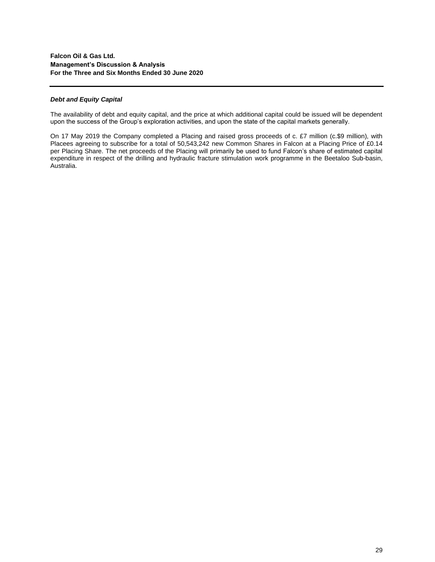## *Debt and Equity Capital*

The availability of debt and equity capital, and the price at which additional capital could be issued will be dependent upon the success of the Group's exploration activities, and upon the state of the capital markets generally.

On 17 May 2019 the Company completed a Placing and raised gross proceeds of c. £7 million (c.\$9 million), with Placees agreeing to subscribe for a total of 50,543,242 new Common Shares in Falcon at a Placing Price of £0.14 per Placing Share. The net proceeds of the Placing will primarily be used to fund Falcon's share of estimated capital expenditure in respect of the drilling and hydraulic fracture stimulation work programme in the Beetaloo Sub-basin, Australia.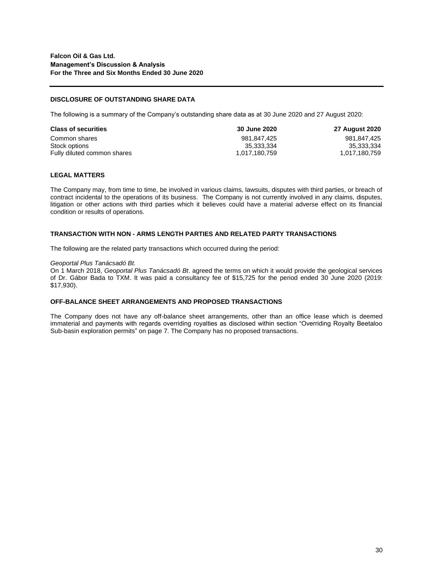## **DISCLOSURE OF OUTSTANDING SHARE DATA**

The following is a summary of the Company's outstanding share data as at 30 June 2020 and 27 August 2020:

| <b>Class of securities</b>  | 30 June 2020  | <b>27 August 2020</b> |
|-----------------------------|---------------|-----------------------|
| Common shares               | 981.847.425   | 981,847,425           |
| Stock options               | 35.333.334    | 35,333,334            |
| Fully diluted common shares | 1.017.180.759 | 1,017,180,759         |

## **LEGAL MATTERS**

The Company may, from time to time, be involved in various claims, lawsuits, disputes with third parties, or breach of contract incidental to the operations of its business. The Company is not currently involved in any claims, disputes, litigation or other actions with third parties which it believes could have a material adverse effect on its financial condition or results of operations.

## **TRANSACTION WITH NON - ARMS LENGTH PARTIES AND RELATED PARTY TRANSACTIONS**

The following are the related party transactions which occurred during the period:

### *Geoportal Plus Tanácsadó Bt.*

On 1 March 2018, *Geoportal Plus Tanácsadó Bt*. agreed the terms on which it would provide the geological services of Dr. Gábor Bada to TXM. It was paid a consultancy fee of \$15,725 for the period ended 30 June 2020 (2019: \$17,930).

## **OFF-BALANCE SHEET ARRANGEMENTS AND PROPOSED TRANSACTIONS**

The Company does not have any off-balance sheet arrangements, other than an office lease which is deemed immaterial and payments with regards overriding royalties as disclosed within section "Overriding Royalty Beetaloo Sub-basin exploration permits" on page 7. The Company has no proposed transactions.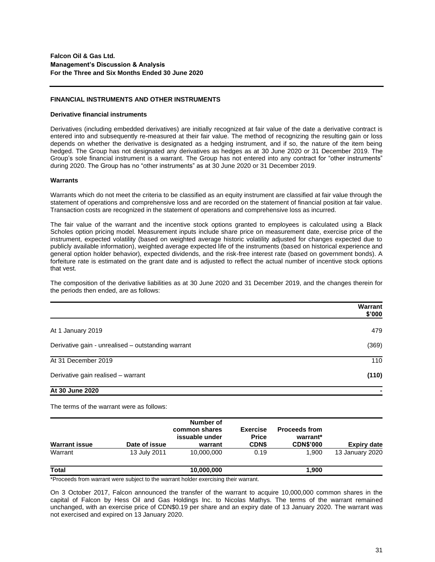### **FINANCIAL INSTRUMENTS AND OTHER INSTRUMENTS**

#### **Derivative financial instruments**

Derivatives (including embedded derivatives) are initially recognized at fair value of the date a derivative contract is entered into and subsequently re-measured at their fair value. The method of recognizing the resulting gain or loss depends on whether the derivative is designated as a hedging instrument, and if so, the nature of the item being hedged. The Group has not designated any derivatives as hedges as at 30 June 2020 or 31 December 2019. The Group's sole financial instrument is a warrant. The Group has not entered into any contract for "other instruments" during 2020. The Group has no "other instruments" as at 30 June 2020 or 31 December 2019.

#### **Warrants**

Warrants which do not meet the criteria to be classified as an equity instrument are classified at fair value through the statement of operations and comprehensive loss and are recorded on the statement of financial position at fair value. Transaction costs are recognized in the statement of operations and comprehensive loss as incurred.

The fair value of the warrant and the incentive stock options granted to employees is calculated using a Black Scholes option pricing model. Measurement inputs include share price on measurement date, exercise price of the instrument, expected volatility (based on weighted average historic volatility adjusted for changes expected due to publicly available information), weighted average expected life of the instruments (based on historical experience and general option holder behavior), expected dividends, and the risk-free interest rate (based on government bonds). A forfeiture rate is estimated on the grant date and is adjusted to reflect the actual number of incentive stock options that vest.

The composition of the derivative liabilities as at 30 June 2020 and 31 December 2019, and the changes therein for the periods then ended, are as follows:

|                                                    | Warrant<br>\$'000 |
|----------------------------------------------------|-------------------|
| At 1 January 2019                                  | 479               |
| Derivative gain - unrealised – outstanding warrant | (369)             |
| At 31 December 2019                                | 110               |
| Derivative gain realised - warrant                 | (110)             |
| At 30 June 2020                                    |                   |

The terms of the warrant were as follows:

| <b>Warrant issue</b> | Date of issue | Number of<br>common shares<br>issuable under<br>warrant | <b>Exercise</b><br><b>Price</b><br><b>CDNS</b> | <b>Proceeds from</b><br>warrant*<br><b>CDN\$'000</b> | Expiry date     |
|----------------------|---------------|---------------------------------------------------------|------------------------------------------------|------------------------------------------------------|-----------------|
| Warrant              | 13 July 2011  | 10,000,000                                              | 0.19                                           | 1.900                                                | 13 January 2020 |
| <b>Total</b>         |               | 10,000,000                                              |                                                | 1,900                                                |                 |

\*Proceeds from warrant were subject to the warrant holder exercising their warrant.

On 3 October 2017, Falcon announced the transfer of the warrant to acquire 10,000,000 common shares in the capital of Falcon by Hess Oil and Gas Holdings Inc. to Nicolas Mathys. The terms of the warrant remained unchanged, with an exercise price of CDN\$0.19 per share and an expiry date of 13 January 2020. The warrant was not exercised and expired on 13 January 2020.